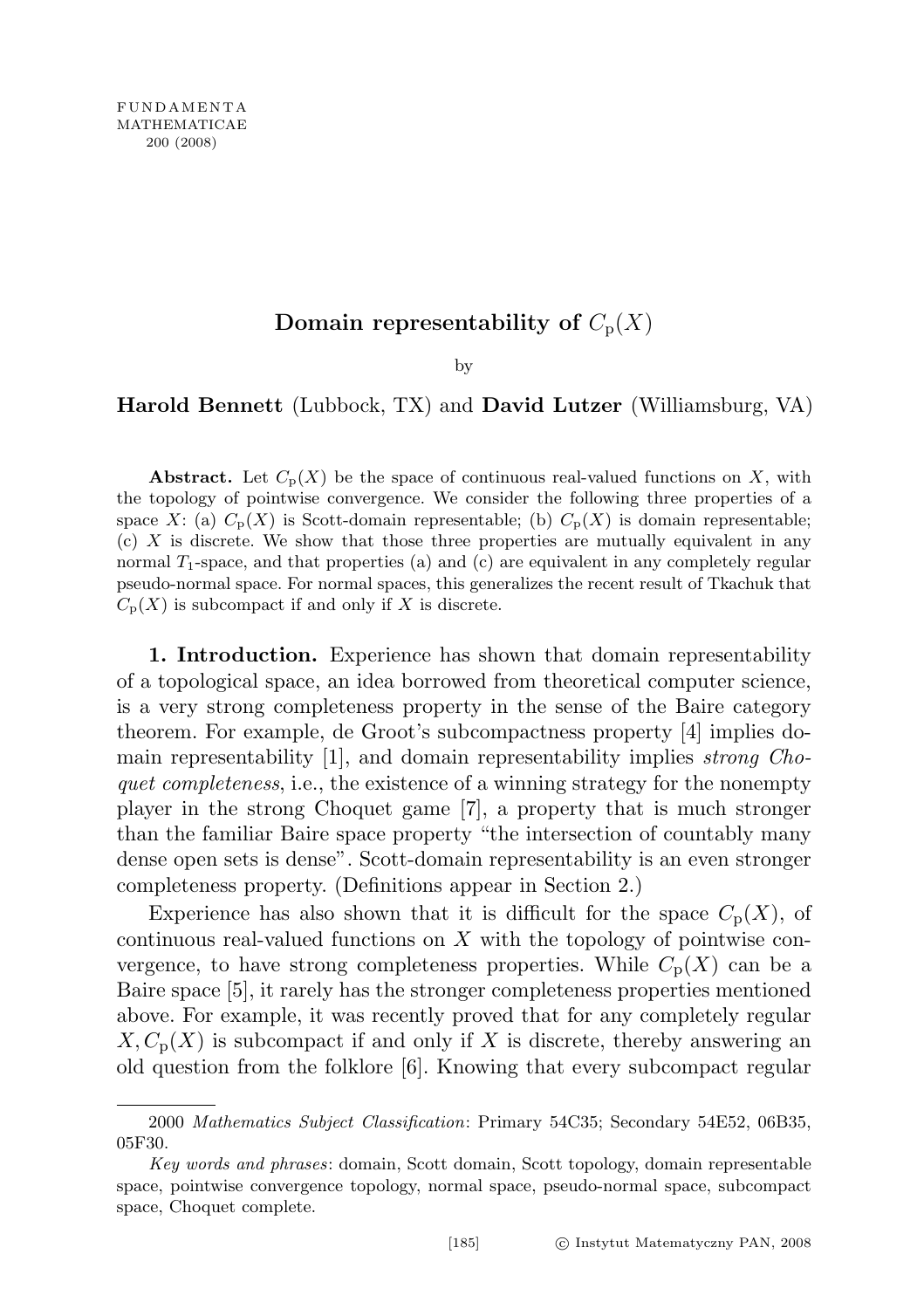## Domain representability of  $C_p(X)$

by

## Harold Bennett (Lubbock, TX) and David Lutzer (Williamsburg, VA)

**Abstract.** Let  $C_p(X)$  be the space of continuous real-valued functions on X, with the topology of pointwise convergence. We consider the following three properties of a space X: (a)  $C_p(X)$  is Scott-domain representable; (b)  $C_p(X)$  is domain representable;  $(c)$  X is discrete. We show that those three properties are mutually equivalent in any normal  $T_1$ -space, and that properties (a) and (c) are equivalent in any completely regular pseudo-normal space. For normal spaces, this generalizes the recent result of Tkachuk that  $C_{p}(X)$  is subcompact if and only if X is discrete.

1. Introduction. Experience has shown that domain representability of a topological space, an idea borrowed from theoretical computer science, is a very strong completeness property in the sense of the Baire category theorem. For example, de Groot's subcompactness property [4] implies domain representability [1], and domain representability implies strong Choquet completeness, i.e., the existence of a winning strategy for the nonempty player in the strong Choquet game [7], a property that is much stronger than the familiar Baire space property "the intersection of countably many dense open sets is dense". Scott-domain representability is an even stronger completeness property. (Definitions appear in Section 2.)

Experience has also shown that it is difficult for the space  $C_p(X)$ , of continuous real-valued functions on  $X$  with the topology of pointwise convergence, to have strong completeness properties. While  $C_p(X)$  can be a Baire space [5], it rarely has the stronger completeness properties mentioned above. For example, it was recently proved that for any completely regular  $X, C_{p}(X)$  is subcompact if and only if X is discrete, thereby answering an old question from the folklore [6]. Knowing that every subcompact regular

<sup>2000</sup> Mathematics Subject Classification: Primary 54C35; Secondary 54E52, 06B35, 05F30.

Key words and phrases: domain, Scott domain, Scott topology, domain representable space, pointwise convergence topology, normal space, pseudo-normal space, subcompact space, Choquet complete.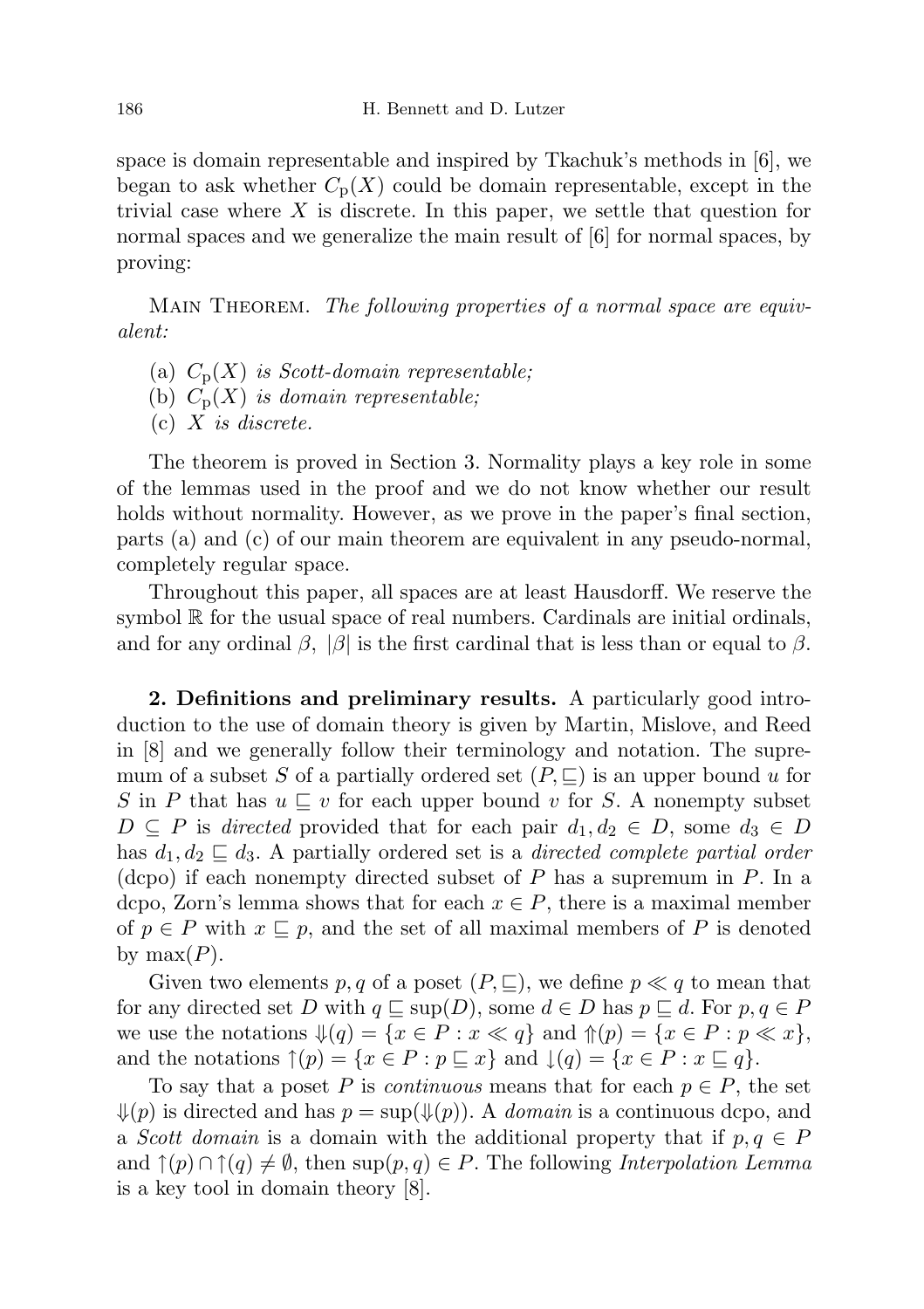space is domain representable and inspired by Tkachuk's methods in [6], we began to ask whether  $C_p(X)$  could be domain representable, except in the trivial case where  $X$  is discrete. In this paper, we settle that question for normal spaces and we generalize the main result of [6] for normal spaces, by proving:

MAIN THEOREM. The following properties of a normal space are equivalent:

- (a)  $C_p(X)$  is Scott-domain representable;
- (b)  $C_p(X)$  is domain representable;
- (c)  $X$  is discrete.

The theorem is proved in Section 3. Normality plays a key role in some of the lemmas used in the proof and we do not know whether our result holds without normality. However, as we prove in the paper's final section, parts (a) and (c) of our main theorem are equivalent in any pseudo-normal, completely regular space.

Throughout this paper, all spaces are at least Hausdorff. We reserve the symbol R for the usual space of real numbers. Cardinals are initial ordinals, and for any ordinal  $\beta$ ,  $|\beta|$  is the first cardinal that is less than or equal to  $\beta$ .

2. Definitions and preliminary results. A particularly good introduction to the use of domain theory is given by Martin, Mislove, and Reed in [8] and we generally follow their terminology and notation. The supremum of a subset S of a partially ordered set  $(P, \subseteq)$  is an upper bound u for S in P that has  $u \sqsubseteq v$  for each upper bound v for S. A nonempty subset  $D \subseteq P$  is directed provided that for each pair  $d_1, d_2 \in D$ , some  $d_3 \in D$ has  $d_1, d_2 \sqsubseteq d_3$ . A partially ordered set is a *directed complete partial order* (dcpo) if each nonempty directed subset of  $P$  has a supremum in  $P$ . In a dcpo, Zorn's lemma shows that for each  $x \in P$ , there is a maximal member of  $p \in P$  with  $x \subseteq p$ , and the set of all maximal members of P is denoted by  $max(P)$ .

Given two elements p, q of a poset  $(P, \subseteq)$ , we define  $p \ll q$  to mean that for any directed set D with  $q \subseteq \text{sup}(D)$ , some  $d \in D$  has  $p \subseteq d$ . For  $p, q \in P$ we use the notations  $\mathcal{Y}(q) = \{x \in P : x \ll q\}$  and  $\mathcal{Y}(p) = \{x \in P : p \ll x\},\$ and the notations  $\uparrow(p) = \{x \in P : p \sqsubseteq x\}$  and  $\downarrow(q) = \{x \in P : x \sqsubseteq q\}.$ 

To say that a poset P is *continuous* means that for each  $p \in P$ , the set  $\mathcal{L}(p)$  is directed and has  $p = \sup(\mathcal{L}(p))$ . A domain is a continuous depo, and a Scott domain is a domain with the additional property that if  $p, q \in P$ and  $\uparrow(p) \cap \uparrow(q) \neq \emptyset$ , then sup $(p, q) \in P$ . The following *Interpolation Lemma* is a key tool in domain theory [8].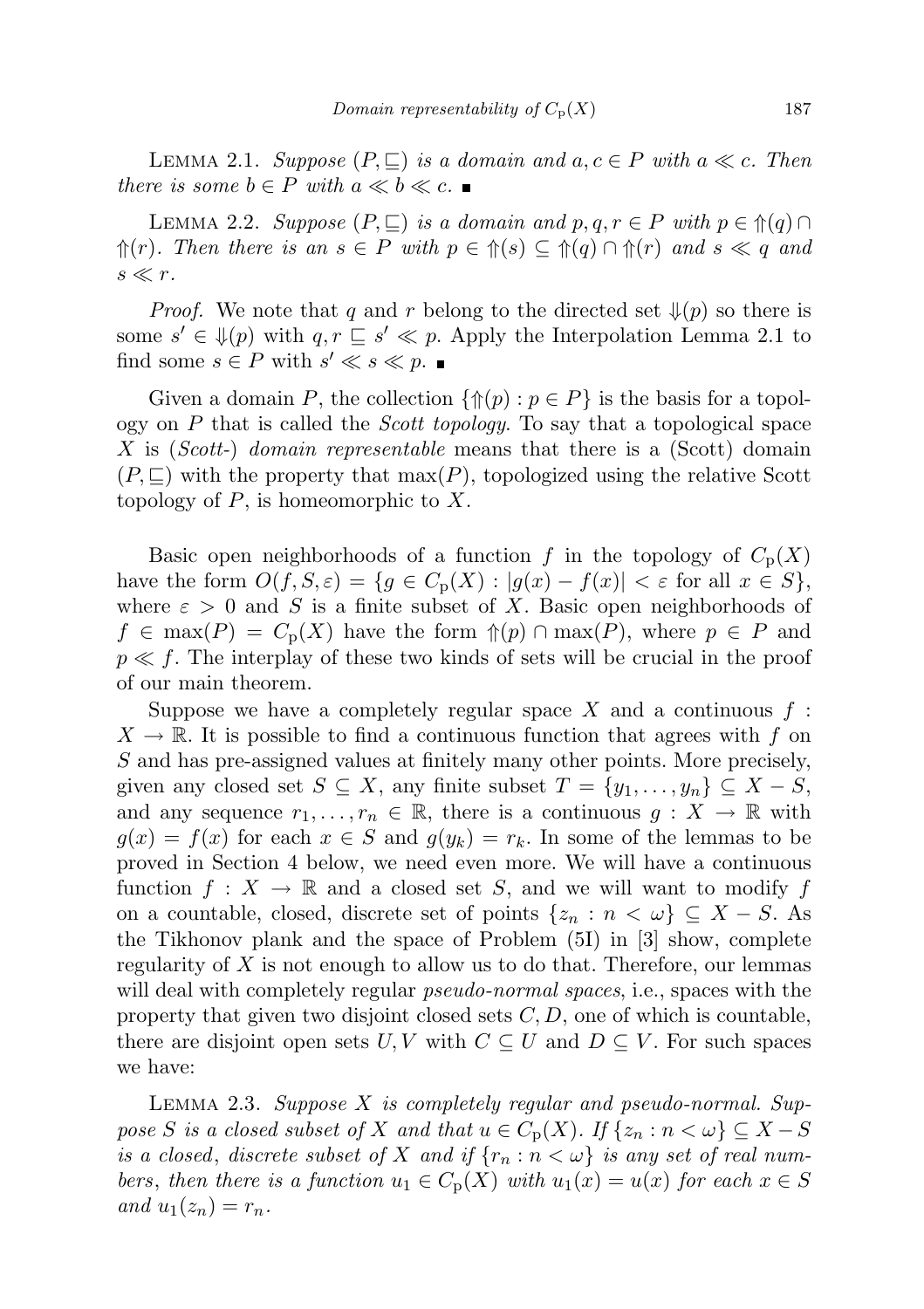LEMMA 2.1. Suppose  $(P, \subseteq)$  is a domain and  $a, c \in P$  with  $a \ll c$ . Then there is some  $b \in P$  with  $a \ll b \ll c$ .

LEMMA 2.2. Suppose  $(P, \subseteq)$  is a domain and  $p, q, r \in P$  with  $p \in \mathcal{P}(q) \cap$  $\Uparrow(r)$ . Then there is an  $s \in P$  with  $p \in \Uparrow(s) \subseteq \Uparrow(q) \cap \Uparrow(r)$  and  $s \ll q$  and  $s \ll r$ .

*Proof.* We note that q and r belong to the directed set  $\mathcal{L}(p)$  so there is some  $s' \in \mathcal{F}(p)$  with  $q, r \subseteq s' \ll p$ . Apply the Interpolation Lemma 2.1 to find some  $s \in P$  with  $s' \ll s \ll p$ .

Given a domain P, the collection  $\{\Uparrow(p): p \in P\}$  is the basis for a topology on  $P$  that is called the *Scott topology*. To say that a topological space X is (Scott-) domain representable means that there is a (Scott) domain  $(P, \subseteq)$  with the property that  $\max(P)$ , topologized using the relative Scott topology of  $P$ , is homeomorphic to  $X$ .

Basic open neighborhoods of a function f in the topology of  $C_p(X)$ have the form  $O(f, S, \varepsilon) = \{g \in C_p(X) : |g(x) - f(x)| < \varepsilon \text{ for all } x \in S\},\$ where  $\varepsilon > 0$  and S is a finite subset of X. Basic open neighborhoods of  $f \in \max(P) = C_p(X)$  have the form  $\mathcal{D}(p) \cap \max(P)$ , where  $p \in P$  and  $p \ll f$ . The interplay of these two kinds of sets will be crucial in the proof of our main theorem.

Suppose we have a completely regular space X and a continuous  $f$ :  $X \to \mathbb{R}$ . It is possible to find a continuous function that agrees with f on S and has pre-assigned values at finitely many other points. More precisely, given any closed set  $S \subseteq X$ , any finite subset  $T = \{y_1, \ldots, y_n\} \subseteq X - S$ , and any sequence  $r_1, \ldots, r_n \in \mathbb{R}$ , there is a continuous  $g: X \to \mathbb{R}$  with  $g(x) = f(x)$  for each  $x \in S$  and  $g(y_k) = r_k$ . In some of the lemmas to be proved in Section 4 below, we need even more. We will have a continuous function  $f: X \to \mathbb{R}$  and a closed set S, and we will want to modify f on a countable, closed, discrete set of points  $\{z_n : n < \omega\} \subseteq X - S$ . As the Tikhonov plank and the space of Problem (5I) in [3] show, complete regularity of  $X$  is not enough to allow us to do that. Therefore, our lemmas will deal with completely regular *pseudo-normal spaces*, i.e., spaces with the property that given two disjoint closed sets  $C, D$ , one of which is countable, there are disjoint open sets  $U, V$  with  $C \subseteq U$  and  $D \subseteq V$ . For such spaces we have:

LEMMA 2.3. Suppose X is completely regular and pseudo-normal. Suppose S is a closed subset of X and that  $u \in C_p(X)$ . If  $\{z_n : n < \omega\} \subseteq X - S$ is a closed, discrete subset of X and if  $\{r_n : n < \omega\}$  is any set of real numbers, then there is a function  $u_1 \in C_p(X)$  with  $u_1(x) = u(x)$  for each  $x \in S$ and  $u_1(z_n) = r_n$ .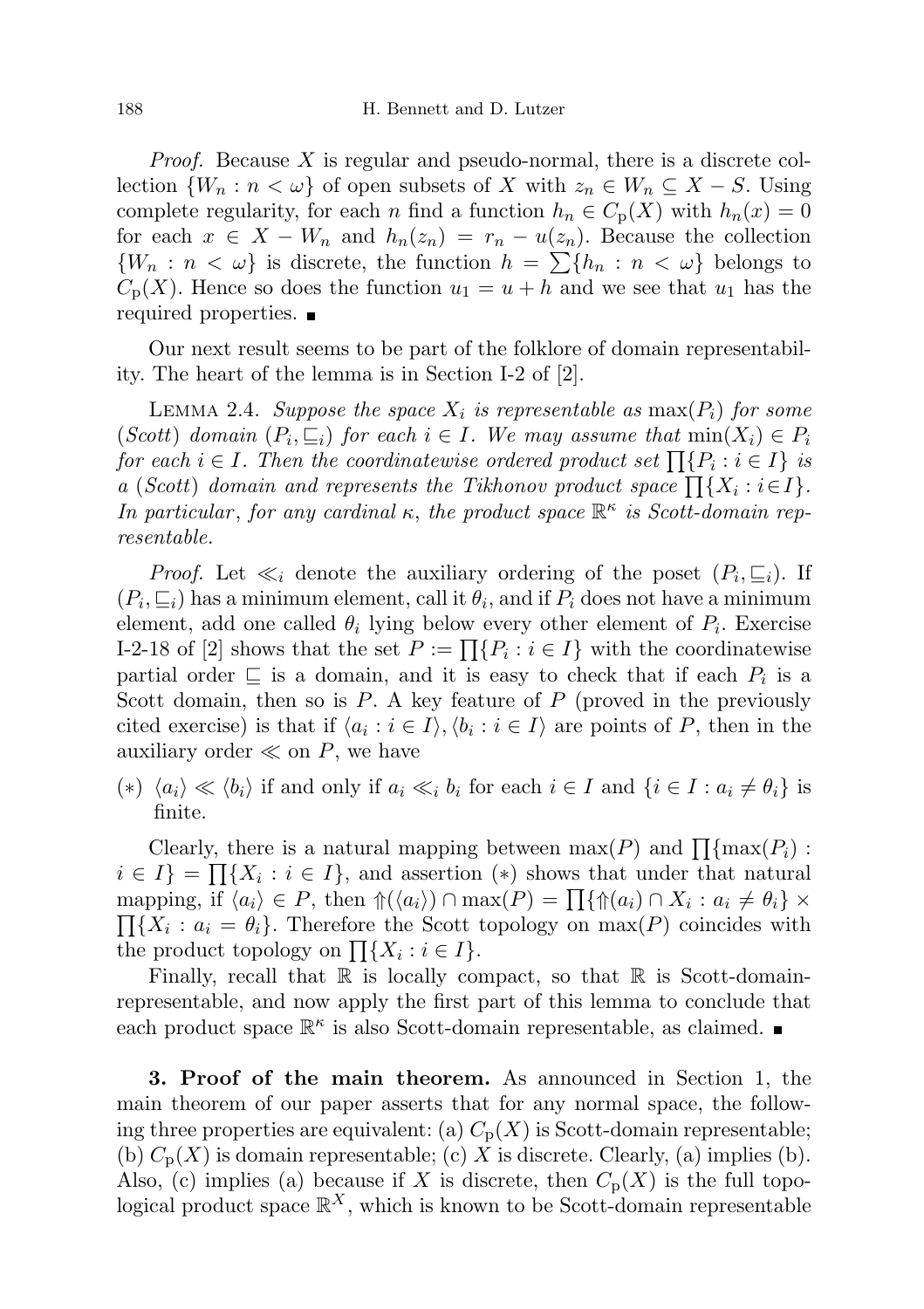*Proof.* Because  $X$  is regular and pseudo-normal, there is a discrete collection  $\{W_n : n < \omega\}$  of open subsets of X with  $z_n \in W_n \subseteq X - S$ . Using complete regularity, for each n find a function  $h_n \in C_p(X)$  with  $h_n(x) = 0$ for each  $x \in X - W_n$  and  $h_n(z_n) = r_n - u(z_n)$ . Because the collection  $\{W_n : n < \omega\}$  is discrete, the function  $h = \sum \{h_n : n < \omega\}$  belongs to  $C_p(X)$ . Hence so does the function  $u_1 = u + h$  and we see that  $u_1$  has the required properties.

Our next result seems to be part of the folklore of domain representability. The heart of the lemma is in Section I-2 of [2].

LEMMA 2.4. Suppose the space  $X_i$  is representable as  $\max(P_i)$  for some (Scott) domain  $(P_i, \subseteq_i)$  for each  $i \in I$ . We may assume that  $min(X_i) \in P_i$ for each  $i \in I$ . Then the coordinatewise ordered product set  $\prod\{P_i : i \in I\}$  is a (Scott) domain and represents the Tikhonov product space  $\prod\{X_i : i \in I\}$ . In particular, for any cardinal  $\kappa$ , the product space  $\mathbb{R}^{\kappa}$  is Scott-domain representable.

*Proof.* Let  $\ll_i$  denote the auxiliary ordering of the poset  $(P_i, \subseteq_i)$ . If  $(P_i, \subseteq_i)$  has a minimum element, call it  $\theta_i$ , and if  $P_i$  does not have a minimum element, add one called  $\theta_i$  lying below every other element of  $P_i$ . Exercise I-2-18 of [2] shows that the set  $P := \prod\{P_i : i \in I\}$  with the coordinatewise partial order  $\subseteq$  is a domain, and it is easy to check that if each  $P_i$  is a Scott domain, then so is  $P$ . A key feature of  $P$  (proved in the previously cited exercise) is that if  $\langle a_i : i \in I \rangle, \langle b_i : i \in I \rangle$  are points of P, then in the auxiliary order  $\ll$  on P, we have

(\*)  $\langle a_i \rangle \ll \langle b_i \rangle$  if and only if  $a_i \ll_i b_i$  for each  $i \in I$  and  $\{i \in I : a_i \neq \theta_i\}$  is finite.

Clearly, there is a natural mapping between  $\max(P)$  and  $\prod{\max(P_i)}$ :  $i \in I$ } =  $\prod\{X_i : i \in I\}$ , and assertion (\*) shows that under that natural mapping, if  $\langle a_i \rangle \in P$ , then  $\frac{\triangleleft}{\triangleleft}(\langle a_i \rangle) \cap \max(P) = \prod \{\frac{\triangleleft}{\triangleleft}a_i \cap X_i : a_i \neq \theta_i\} \times$  $\prod\{X_i : a_i = \theta_i\}.$  Therefore the Scott topology on  $\max(P)$  coincides with the product topology on  $\prod\{X_i : i \in I\}.$ 

Finally, recall that  $\mathbb R$  is locally compact, so that  $\mathbb R$  is Scott-domainrepresentable, and now apply the first part of this lemma to conclude that each product space  $\mathbb{R}^{\kappa}$  is also Scott-domain representable, as claimed.

3. Proof of the main theorem. As announced in Section 1, the main theorem of our paper asserts that for any normal space, the following three properties are equivalent: (a)  $C_p(X)$  is Scott-domain representable; (b)  $C_p(X)$  is domain representable; (c) X is discrete. Clearly, (a) implies (b). Also, (c) implies (a) because if X is discrete, then  $C_p(X)$  is the full topological product space  $\mathbb{R}^X$ , which is known to be Scott-domain representable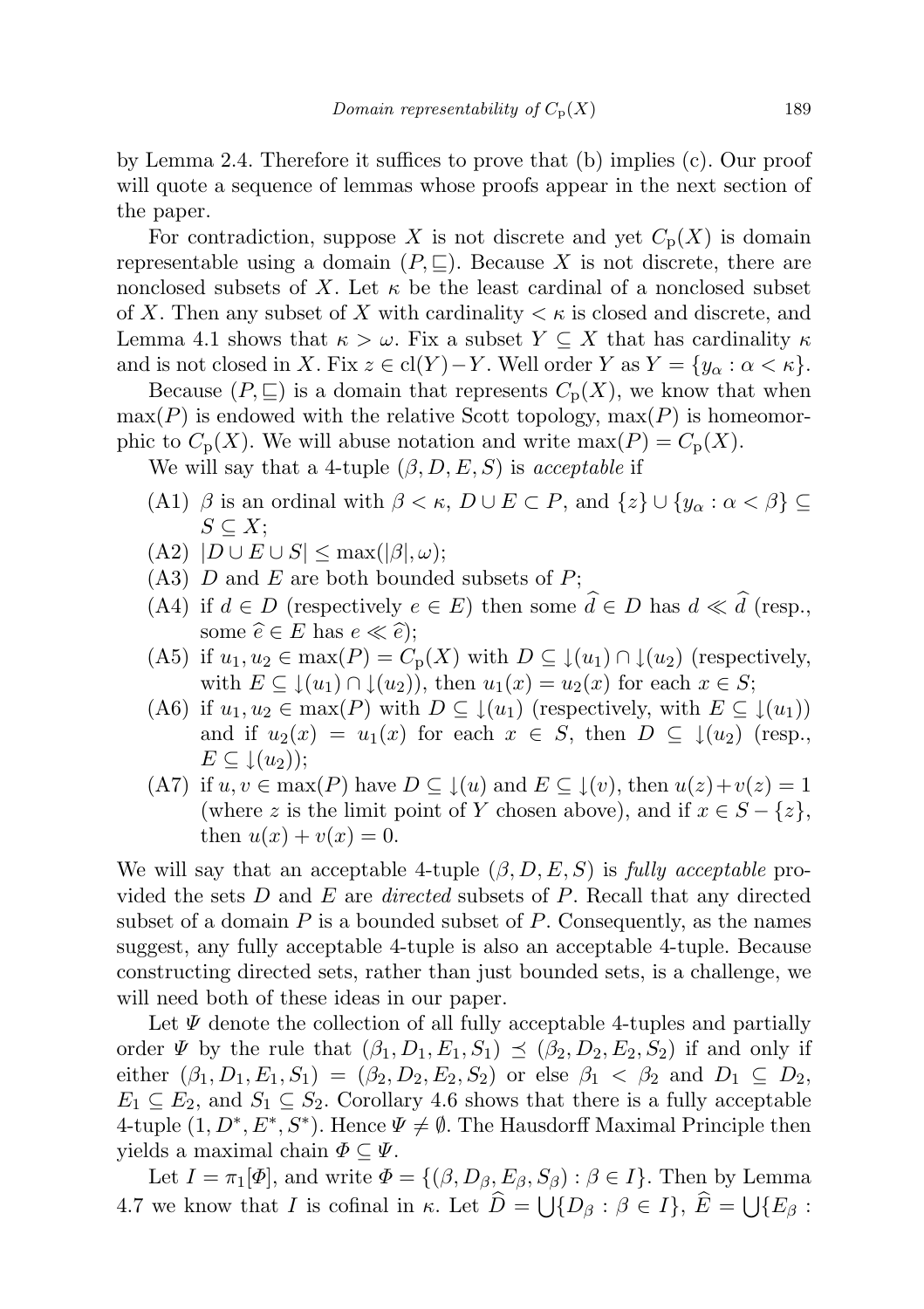by Lemma 2.4. Therefore it suffices to prove that (b) implies (c). Our proof will quote a sequence of lemmas whose proofs appear in the next section of the paper.

For contradiction, suppose X is not discrete and yet  $C_p(X)$  is domain representable using a domain  $(P, \subseteq)$ . Because X is not discrete, there are nonclosed subsets of X. Let  $\kappa$  be the least cardinal of a nonclosed subset of X. Then any subset of X with cardinality  $\lt \kappa$  is closed and discrete, and Lemma 4.1 shows that  $\kappa > \omega$ . Fix a subset  $Y \subseteq X$  that has cardinality  $\kappa$ and is not closed in X. Fix  $z \in \text{cl}(Y) - Y$ . Well order Y as  $Y = \{y_\alpha : \alpha < \kappa\}.$ 

Because  $(P, \subseteq)$  is a domain that represents  $C_p(X)$ , we know that when  $\max(P)$  is endowed with the relative Scott topology,  $\max(P)$  is homeomorphic to  $C_p(X)$ . We will abuse notation and write max $(P) = C_p(X)$ .

We will say that a 4-tuple  $(\beta, D, E, S)$  is acceptable if

- (A1)  $\beta$  is an ordinal with  $\beta < \kappa$ ,  $D \cup E \subset P$ , and  $\{z\} \cup \{y_\alpha : \alpha < \beta\} \subseteq$  $S \subseteq X;$
- $(A2)$   $|D \cup E \cup S| \leq \max(|\beta|, \omega);$
- $(A3)$  D and E are both bounded subsets of P;
- (A4) if  $d \in D$  (respectively  $e \in E$ ) then some  $\hat{d} \in D$  has  $d \ll \hat{d}$  (resp., some  $\widehat{e} \in E$  has  $e \ll \widehat{e}$ );
- (A5) if  $u_1, u_2 \in \max(P) = C_p(X)$  with  $D \subseteq \downarrow(u_1) \cap \downarrow(u_2)$  (respectively, with  $E \subseteq \downarrow (u_1) \cap \downarrow (u_2)$ , then  $u_1(x) = u_2(x)$  for each  $x \in S$ ;
- (A6) if  $u_1, u_2 \in \max(P)$  with  $D \subseteq \downarrow(u_1)$  (respectively, with  $E \subseteq \downarrow(u_1)$ ) and if  $u_2(x) = u_1(x)$  for each  $x \in S$ , then  $D \subseteq \downarrow (u_2)$  (resp.,  $E \subseteq \downarrow(u_2)$ ;
- (A7) if  $u, v \in \max(P)$  have  $D \subseteq \mathcal{L}(u)$  and  $E \subseteq \mathcal{L}(v)$ , then  $u(z)+v(z)=1$ (where z is the limit point of Y chosen above), and if  $x \in S - \{z\}$ , then  $u(x) + v(x) = 0$ .

We will say that an acceptable 4-tuple  $(\beta, D, E, S)$  is fully acceptable provided the sets  $D$  and  $E$  are *directed* subsets of  $P$ . Recall that any directed subset of a domain  $P$  is a bounded subset of  $P$ . Consequently, as the names suggest, any fully acceptable 4-tuple is also an acceptable 4-tuple. Because constructing directed sets, rather than just bounded sets, is a challenge, we will need both of these ideas in our paper.

Let  $\Psi$  denote the collection of all fully acceptable 4-tuples and partially order  $\Psi$  by the rule that  $(\beta_1, D_1, E_1, S_1) \preceq (\beta_2, D_2, E_2, S_2)$  if and only if either  $(\beta_1, D_1, E_1, S_1) = (\beta_2, D_2, E_2, S_2)$  or else  $\beta_1 < \beta_2$  and  $D_1 \subseteq D_2$ ,  $E_1 \subseteq E_2$ , and  $S_1 \subseteq S_2$ . Corollary 4.6 shows that there is a fully acceptable 4-tuple  $(1, D^*, E^*, S^*)$ . Hence  $\Psi \neq \emptyset$ . The Hausdorff Maximal Principle then yields a maximal chain  $\Phi \subseteq \Psi$ .

Let  $I = \pi_1[\Phi]$ , and write  $\Phi = \{(\beta, D_\beta, E_\beta, S_\beta) : \beta \in I\}$ . Then by Lemma 4.7 we know that *I* is cofinal in  $\kappa$ . Let  $D = \bigcup \{D_\beta : \beta \in I\}, E = \bigcup \{E_\beta : \beta \in I\}$ .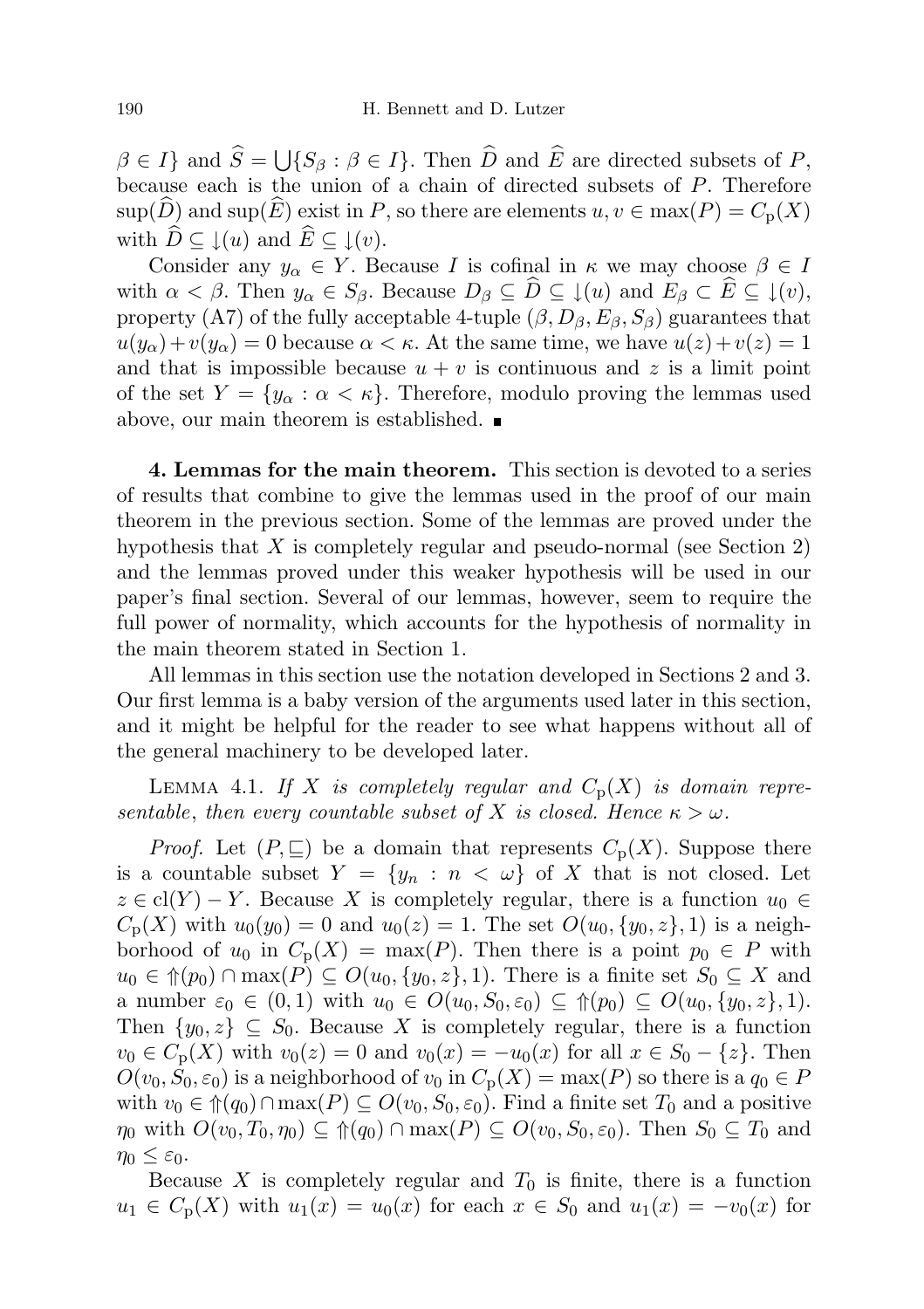$\beta \in I$  and  $S = \bigcup \{S_{\beta} : \beta \in I\}$ . Then D and E are directed subsets of P, because each is the union of a chain of directed subsets of P. Therefore  $\text{sup}(\widehat{D})$  and  $\text{sup}(\widehat{E})$  exist in P, so there are elements  $u, v \in \max(P) = C_{p}(X)$ with  $\widehat{D} \subseteq \downarrow(u)$  and  $\widehat{E} \subseteq \downarrow(v)$ .

Consider any  $y_{\alpha} \in Y$ . Because I is cofinal in  $\kappa$  we may choose  $\beta \in I$ with  $\alpha < \beta$ . Then  $y_{\alpha} \in S_{\beta}$ . Because  $D_{\beta} \subseteq \widehat{D} \subseteq \{u\}$  and  $E_{\beta} \subset \widehat{E} \subseteq \{v\}$ , property (A7) of the fully acceptable 4-tuple  $(\beta, D_{\beta}, E_{\beta}, S_{\beta})$  guarantees that  $u(y_\alpha)+v(y_\alpha)=0$  because  $\alpha<\kappa$ . At the same time, we have  $u(z)+v(z)=1$ and that is impossible because  $u + v$  is continuous and z is a limit point of the set  $Y = \{y_\alpha : \alpha < \kappa\}$ . Therefore, modulo proving the lemmas used above, our main theorem is established.

4. Lemmas for the main theorem. This section is devoted to a series of results that combine to give the lemmas used in the proof of our main theorem in the previous section. Some of the lemmas are proved under the hypothesis that X is completely regular and pseudo-normal (see Section 2) and the lemmas proved under this weaker hypothesis will be used in our paper's final section. Several of our lemmas, however, seem to require the full power of normality, which accounts for the hypothesis of normality in the main theorem stated in Section 1.

All lemmas in this section use the notation developed in Sections 2 and 3. Our first lemma is a baby version of the arguments used later in this section, and it might be helpful for the reader to see what happens without all of the general machinery to be developed later.

LEMMA 4.1. If X is completely regular and  $C_p(X)$  is domain representable, then every countable subset of X is closed. Hence  $\kappa > \omega$ .

*Proof.* Let  $(P, \subseteq)$  be a domain that represents  $C_p(X)$ . Suppose there is a countable subset  $Y = \{y_n : n < \omega\}$  of X that is not closed. Let  $z \in \text{cl}(Y) - Y$ . Because X is completely regular, there is a function  $u_0 \in$  $C_p(X)$  with  $u_0(y_0) = 0$  and  $u_0(z) = 1$ . The set  $O(u_0, \{y_0, z\}, 1)$  is a neighborhood of  $u_0$  in  $C_p(X) = \max(P)$ . Then there is a point  $p_0 \in P$  with  $u_0 \in \mathcal{m}(p_0) \cap \max(P) \subseteq O(u_0, \{y_0, z\}, 1)$ . There is a finite set  $S_0 \subseteq X$  and a number  $\varepsilon_0 \in (0,1)$  with  $u_0 \in O(u_0, S_0, \varepsilon_0) \subseteq \mathcal{D}(u_0, \{y_0, z\}, 1)$ . Then  $\{y_0, z\} \subseteq S_0$ . Because X is completely regular, there is a function  $v_0 \in C_p(X)$  with  $v_0(z) = 0$  and  $v_0(x) = -u_0(x)$  for all  $x \in S_0 - \{z\}$ . Then  $O(v_0, S_0, \varepsilon_0)$  is a neighborhood of  $v_0$  in  $C_p(X) = \max(P)$  so there is a  $q_0 \in P$ with  $v_0 \in \hat{\mathcal{T}}(q_0) \cap \max(P) \subseteq O(v_0, S_0, \varepsilon_0)$ . Find a finite set  $T_0$  and a positive  $\eta_0$  with  $O(v_0, T_0, \eta_0) \subseteq \mathcal{P}((q_0) \cap \max(P) \subseteq O(v_0, S_0, \varepsilon_0)$ . Then  $S_0 \subseteq T_0$  and  $\eta_0 \leq \varepsilon_0$ .

Because  $X$  is completely regular and  $T_0$  is finite, there is a function  $u_1 \in C_p(X)$  with  $u_1(x) = u_0(x)$  for each  $x \in S_0$  and  $u_1(x) = -v_0(x)$  for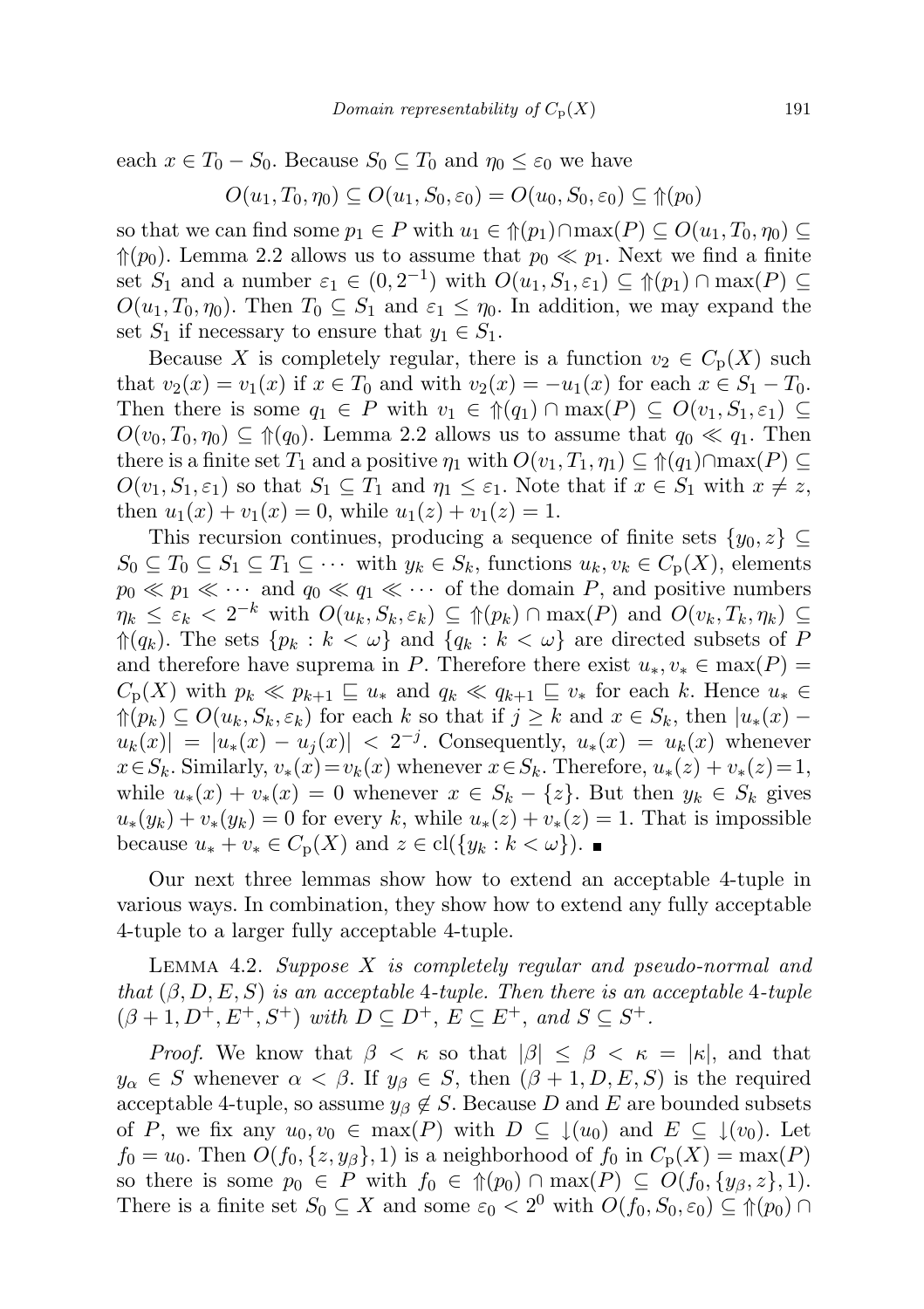each  $x \in T_0 - S_0$ . Because  $S_0 \subseteq T_0$  and  $\eta_0 \leq \varepsilon_0$  we have

$$
O(u_1, T_0, \eta_0) \subseteq O(u_1, S_0, \varepsilon_0) = O(u_0, S_0, \varepsilon_0) \subseteq \mathcal{p}(p_0)
$$

so that we can find some  $p_1 \in P$  with  $u_1 \in \mathcal{F}(p_1) \cap \max(P) \subseteq O(u_1, T_0, \eta_0) \subseteq$  $\Uparrow(p_0)$ . Lemma 2.2 allows us to assume that  $p_0 \ll p_1$ . Next we find a finite set  $S_1$  and a number  $\varepsilon_1 \in (0, 2^{-1})$  with  $O(u_1, S_1, \varepsilon_1) \subseteq \mathcal{P}(p_1) \cap \max(P) \subseteq$  $O(u_1, T_0, \eta_0)$ . Then  $T_0 \subseteq S_1$  and  $\varepsilon_1 \leq \eta_0$ . In addition, we may expand the set  $S_1$  if necessary to ensure that  $y_1 \in S_1$ .

Because X is completely regular, there is a function  $v_2 \in C_p(X)$  such that  $v_2(x) = v_1(x)$  if  $x \in T_0$  and with  $v_2(x) = -u_1(x)$  for each  $x \in S_1 - T_0$ . Then there is some  $q_1 \in P$  with  $v_1 \in \hat{\mathcal{T}}(q_1) \cap \max(P) \subseteq O(v_1, S_1, \varepsilon_1) \subseteq$  $O(v_0, T_0, \eta_0) \subseteq \mathcal{L}(q_0)$ . Lemma 2.2 allows us to assume that  $q_0 \ll q_1$ . Then there is a finite set  $T_1$  and a positive  $\eta_1$  with  $O(v_1, T_1, \eta_1) \subseteq \mathcal{M}(q_1) \cap \max(P) \subseteq$  $O(v_1, S_1, \varepsilon_1)$  so that  $S_1 \subseteq T_1$  and  $\eta_1 \leq \varepsilon_1$ . Note that if  $x \in S_1$  with  $x \neq z$ , then  $u_1(x) + v_1(x) = 0$ , while  $u_1(z) + v_1(z) = 1$ .

This recursion continues, producing a sequence of finite sets  $\{y_0, z\} \subseteq$  $S_0 \subseteq T_0 \subseteq S_1 \subseteq T_1 \subseteq \cdots$  with  $y_k \in S_k$ , functions  $u_k, v_k \in C_p(X)$ , elements  $p_0 \ll p_1 \ll \cdots$  and  $q_0 \ll q_1 \ll \cdots$  of the domain P, and positive numbers  $\eta_k \leq \varepsilon_k < 2^{-k}$  with  $O(u_k, S_k, \varepsilon_k) \subseteq \Uparrow(p_k) \cap \max(P)$  and  $O(v_k, T_k, \eta_k) \subseteq$  $\mathcal{L}(q_k)$ . The sets  $\{p_k : k < \omega\}$  and  $\{q_k : k < \omega\}$  are directed subsets of P and therefore have suprema in P. Therefore there exist  $u_*, v_* \in \max(P) =$  $C_p(X)$  with  $p_k \ll p_{k+1} \sqsubseteq u_*$  and  $q_k \ll q_{k+1} \sqsubseteq v_*$  for each k. Hence  $u_* \in$  $\mathcal{L}(p_k) \subseteq O(u_k, S_k, \varepsilon_k)$  for each k so that if  $j \geq k$  and  $x \in S_k$ , then  $|u_*(x)$  $u_k(x) = |u_*(x) - u_j(x)| < 2^{-j}$ . Consequently,  $u_*(x) = u_k(x)$  whenever  $x \in S_k$ . Similarly,  $v_*(x) = v_k(x)$  whenever  $x \in S_k$ . Therefore,  $u_*(z) + v_*(z) = 1$ , while  $u_*(x) + v_*(x) = 0$  whenever  $x \in S_k - \{z\}$ . But then  $y_k \in S_k$  gives  $u_*(y_k) + v_*(y_k) = 0$  for every k, while  $u_*(z) + v_*(z) = 1$ . That is impossible because  $u_* + v_* \in C_p(X)$  and  $z \in \text{cl}(\{y_k : k < \omega\})$ .

Our next three lemmas show how to extend an acceptable 4-tuple in various ways. In combination, they show how to extend any fully acceptable 4-tuple to a larger fully acceptable 4-tuple.

LEMMA 4.2. Suppose  $X$  is completely regular and pseudo-normal and that  $(\beta, D, E, S)$  is an acceptable 4-tuple. Then there is an acceptable 4-tuple  $(\beta + 1, D^+, E^+, S^+)$  with  $D \subseteq D^+, E \subseteq E^+,$  and  $S \subseteq S^+$ .

*Proof.* We know that  $\beta < \kappa$  so that  $|\beta| \leq \beta < \kappa = |\kappa|$ , and that  $y_{\alpha} \in S$  whenever  $\alpha < \beta$ . If  $y_{\beta} \in S$ , then  $(\beta + 1, D, E, S)$  is the required acceptable 4-tuple, so assume  $y_\beta \notin S$ . Because D and E are bounded subsets of P, we fix any  $u_0, v_0 \in \max(P)$  with  $D \subseteq \{(u_0) \text{ and } E \subseteq \{(v_0)\}\text{.}$  Let  $f_0 = u_0$ . Then  $O(f_0, \{z, y_\beta\}, 1)$  is a neighborhood of  $f_0$  in  $C_p(X) = \max(P)$ so there is some  $p_0 \in P$  with  $f_0 \in \hat{\mathcal{T}}(p_0) \cap \max(P) \subseteq O(f_0, \{y_\beta, z\}, 1)$ . There is a finite set  $S_0 \subseteq X$  and some  $\varepsilon_0 < 2^0$  with  $O(f_0, S_0, \varepsilon_0) \subseteq \mathcal{P}(p_0) \cap$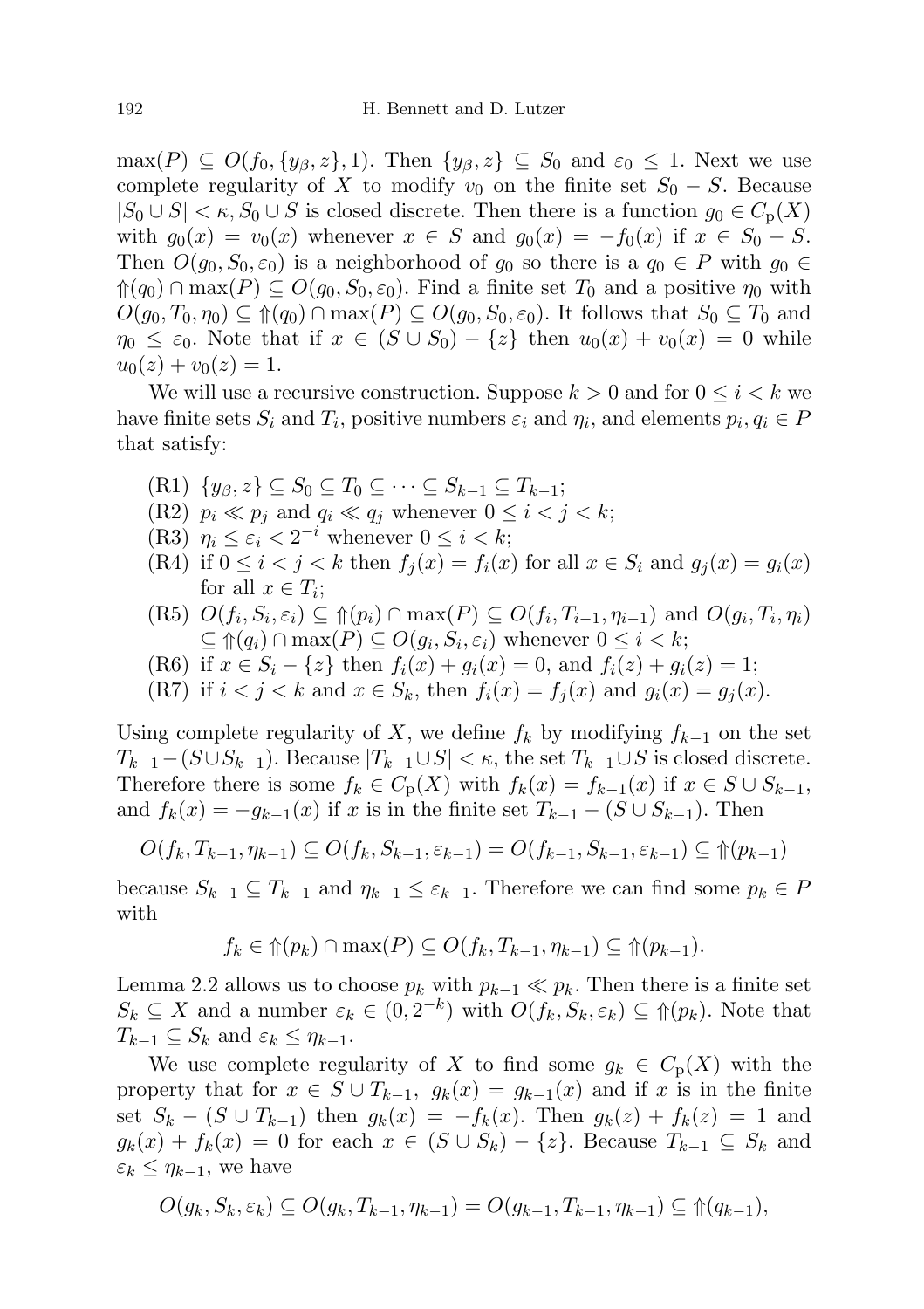$\max(P) \subseteq O(f_0, \{y_\beta, z\}, 1)$ . Then  $\{y_\beta, z\} \subseteq S_0$  and  $\varepsilon_0 \leq 1$ . Next we use complete regularity of X to modify  $v_0$  on the finite set  $S_0 - S$ . Because  $|S_0 \cup S| < \kappa$ ,  $S_0 \cup S$  is closed discrete. Then there is a function  $g_0 \in C_{\text{p}}(X)$ with  $g_0(x) = v_0(x)$  whenever  $x \in S$  and  $g_0(x) = -f_0(x)$  if  $x \in S_0 - S$ . Then  $O(g_0, S_0, \varepsilon_0)$  is a neighborhood of  $g_0$  so there is a  $q_0 \in P$  with  $g_0 \in \mathbb{R}$  $\hat{\phi}(q_0) \cap \max(P) \subseteq O(g_0, S_0, \varepsilon_0)$ . Find a finite set  $T_0$  and a positive  $\eta_0$  with  $O(g_0, T_0, \eta_0) \subseteq \mathcal{D}(g_0) \cap \max(P) \subseteq O(g_0, S_0, \varepsilon_0)$ . It follows that  $S_0 \subseteq T_0$  and  $\eta_0 \leq \varepsilon_0$ . Note that if  $x \in (S \cup S_0) - \{z\}$  then  $u_0(x) + v_0(x) = 0$  while  $u_0(z) + v_0(z) = 1.$ 

We will use a recursive construction. Suppose  $k > 0$  and for  $0 \leq i < k$  we have finite sets  $S_i$  and  $T_i$ , positive numbers  $\varepsilon_i$  and  $\eta_i$ , and elements  $p_i, q_i \in P$ that satisfy:

- $(R1) \{y_{\beta}, z\} \subseteq S_0 \subseteq T_0 \subseteq \cdots \subseteq S_{k-1} \subseteq T_{k-1};$
- (R2)  $p_i \ll p_j$  and  $q_i \ll q_j$  whenever  $0 \leq i < j < k$ ;
- (R3)  $\eta_i \leq \varepsilon_i < 2^{-i}$  whenever  $0 \leq i < k$ ;
- (R4) if  $0 \leq i < j < k$  then  $f_i(x) = f_i(x)$  for all  $x \in S_i$  and  $g_i(x) = g_i(x)$ for all  $x \in T_i$ ;
- $(R5)$   $O(f_i, S_i, \varepsilon_i) \subseteq \mathcal{m}(p_i) \cap \max(P) \subseteq O(f_i, T_{i-1}, \eta_{i-1})$  and  $O(g_i, T_i, \eta_i)$  $\subseteq \mathcal{m}(q_i) \cap \max(P) \subseteq O(g_i, S_i, \varepsilon_i)$  whenever  $0 \leq i < k;$
- (R6) if  $x \in S_i \{z\}$  then  $f_i(x) + g_i(x) = 0$ , and  $f_i(z) + g_i(z) = 1$ ;
- (R7) if  $i < j < k$  and  $x \in S_k$ , then  $f_i(x) = f_i(x)$  and  $g_i(x) = g_i(x)$ .

Using complete regularity of X, we define  $f_k$  by modifying  $f_{k-1}$  on the set  $T_{k-1}-(S\cup S_{k-1})$ . Because  $|T_{k-1}\cup S|<\kappa$ , the set  $T_{k-1}\cup S$  is closed discrete. Therefore there is some  $f_k \in C_p(X)$  with  $f_k(x) = f_{k-1}(x)$  if  $x \in S \cup S_{k-1}$ , and  $f_k(x) = -g_{k-1}(x)$  if x is in the finite set  $T_{k-1} - (S \cup S_{k-1})$ . Then

$$
O(f_k, T_{k-1}, \eta_{k-1}) \subseteq O(f_k, S_{k-1}, \varepsilon_{k-1}) = O(f_{k-1}, S_{k-1}, \varepsilon_{k-1}) \subseteq \Uparrow(p_{k-1})
$$

because  $S_{k-1} \subseteq T_{k-1}$  and  $\eta_{k-1} \leq \varepsilon_{k-1}$ . Therefore we can find some  $p_k \in P$ with

$$
f_k \in \Uparrow(p_k) \cap \max(P) \subseteq O(f_k, T_{k-1}, \eta_{k-1}) \subseteq \Uparrow(p_{k-1}).
$$

Lemma 2.2 allows us to choose  $p_k$  with  $p_{k-1} \ll p_k$ . Then there is a finite set  $S_k \subseteq X$  and a number  $\varepsilon_k \in (0, 2^{-k})$  with  $O(f_k, S_k, \varepsilon_k) \subseteq \Uparrow(p_k)$ . Note that  $T_{k-1} \subseteq S_k$  and  $\varepsilon_k \leq \eta_{k-1}$ .

We use complete regularity of X to find some  $g_k \in C_p(X)$  with the property that for  $x \in S \cup T_{k-1}$ ,  $g_k(x) = g_{k-1}(x)$  and if x is in the finite set  $S_k - (S \cup T_{k-1})$  then  $g_k(x) = -f_k(x)$ . Then  $g_k(z) + f_k(z) = 1$  and  $g_k(x) + f_k(x) = 0$  for each  $x \in (S \cup S_k) - \{z\}$ . Because  $T_{k-1} \subseteq S_k$  and  $\varepsilon_k \leq \eta_{k-1}$ , we have

$$
O(g_k, S_k, \varepsilon_k) \subseteq O(g_k, T_{k-1}, \eta_{k-1}) = O(g_{k-1}, T_{k-1}, \eta_{k-1}) \subseteq \Uparrow (q_{k-1}),
$$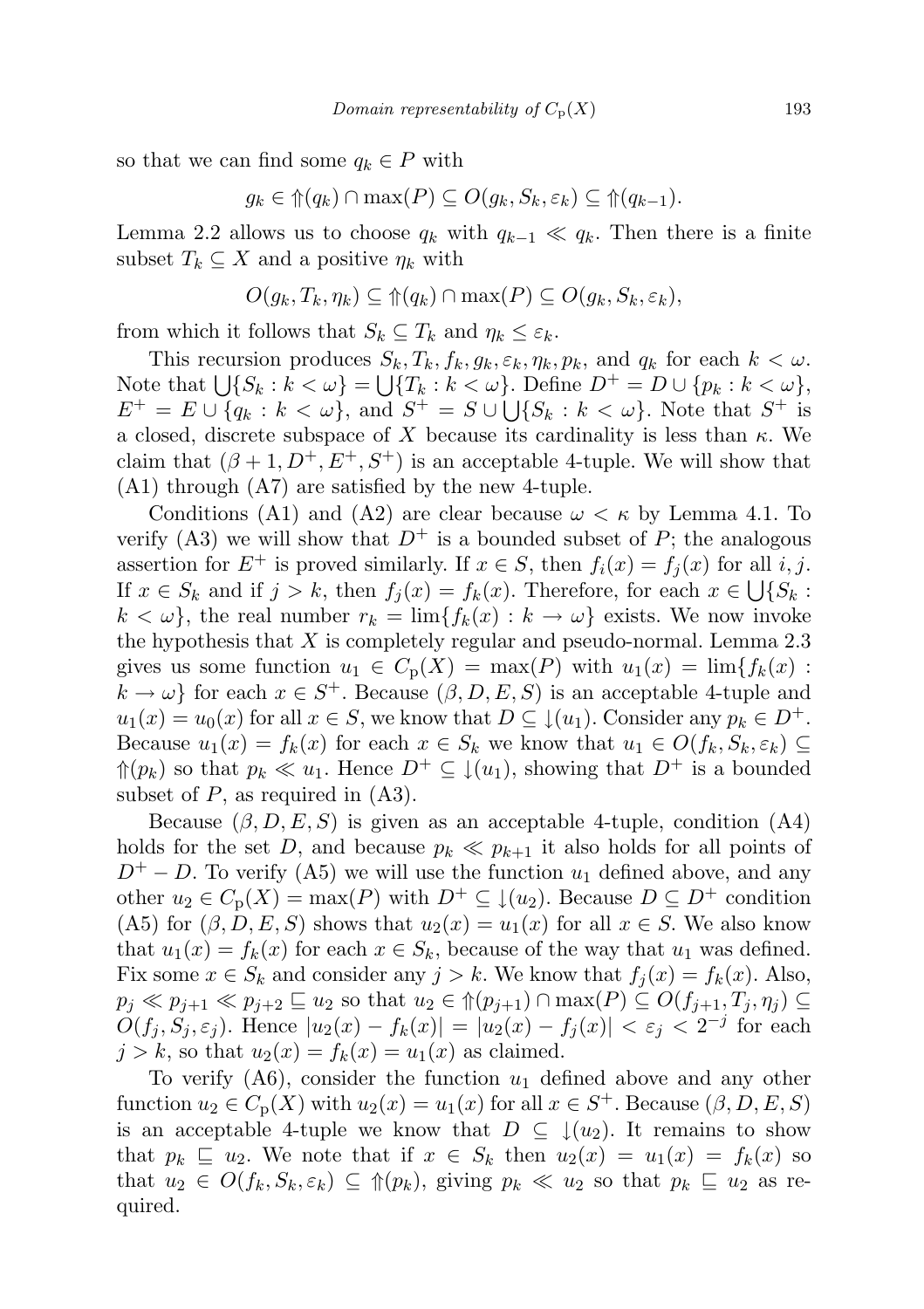so that we can find some  $q_k \in P$  with

$$
g_k \in \mathcal{p}(q_k) \cap \max(P) \subseteq O(g_k, S_k, \varepsilon_k) \subseteq \mathcal{p}(q_{k-1}).
$$

Lemma 2.2 allows us to choose  $q_k$  with  $q_{k-1} \ll q_k$ . Then there is a finite subset  $T_k \subseteq X$  and a positive  $\eta_k$  with

$$
O(g_k, T_k, \eta_k) \subseteq \Uparrow(q_k) \cap \max(P) \subseteq O(g_k, S_k, \varepsilon_k),
$$

from which it follows that  $S_k \subseteq T_k$  and  $\eta_k \leq \varepsilon_k$ .

This recursion produces  $S_k, T_k, f_k, g_k, \varepsilon_k, \eta_k, p_k$ , and  $q_k$  for each  $k < \omega$ . Note that  $\bigcup \{S_k : k < \omega\} = \bigcup \{T_k : k < \omega\}$ . Define  $D^+ = D \cup \{p_k : k < \omega\}$ ,  $E^+ = E \cup \{q_k : k < \omega\}$ , and  $S^+ = S \cup \bigcup \{S_k : k < \omega\}$ . Note that  $S^+$  is a closed, discrete subspace of X because its cardinality is less than  $\kappa$ . We claim that  $(\beta + 1, D^+, E^+, S^+)$  is an acceptable 4-tuple. We will show that (A1) through (A7) are satisfied by the new 4-tuple.

Conditions (A1) and (A2) are clear because  $\omega < \kappa$  by Lemma 4.1. To verify (A3) we will show that  $D^+$  is a bounded subset of P; the analogous assertion for  $E^+$  is proved similarly. If  $x \in S$ , then  $f_i(x) = f_i(x)$  for all i, j. If  $x \in S_k$  and if  $j > k$ , then  $f_j(x) = f_k(x)$ . Therefore, for each  $x \in \bigcup \{S_k :$  $k < \omega$ , the real number  $r_k = \lim\{f_k(x) : k \to \omega\}$  exists. We now invoke the hypothesis that  $X$  is completely regular and pseudo-normal. Lemma 2.3 gives us some function  $u_1 \in C_p(X) = \max(P)$  with  $u_1(x) = \lim\{f_k(x)$ :  $k \to \omega$  for each  $x \in S^+$ . Because  $(\beta, D, E, S)$  is an acceptable 4-tuple and  $u_1(x) = u_0(x)$  for all  $x \in S$ , we know that  $D \subseteq \downarrow (u_1)$ . Consider any  $p_k \in D^+$ . Because  $u_1(x) = f_k(x)$  for each  $x \in S_k$  we know that  $u_1 \in O(f_k, S_k, \varepsilon_k) \subseteq$  $\Uparrow(p_k)$  so that  $p_k \ll u_1$ . Hence  $D^+ \subseteq \downarrow(u_1)$ , showing that  $D^+$  is a bounded subset of  $P$ , as required in  $(A3)$ .

Because  $(\beta, D, E, S)$  is given as an acceptable 4-tuple, condition (A4) holds for the set D, and because  $p_k \ll p_{k+1}$  it also holds for all points of  $D^+ - D$ . To verify (A5) we will use the function  $u_1$  defined above, and any other  $u_2 \in C_p(X) = \max(P)$  with  $D^+ \subseteq \downarrow (u_2)$ . Because  $D \subseteq D^+$  condition (A5) for  $(\beta, D, E, S)$  shows that  $u_2(x) = u_1(x)$  for all  $x \in S$ . We also know that  $u_1(x) = f_k(x)$  for each  $x \in S_k$ , because of the way that  $u_1$  was defined. Fix some  $x \in S_k$  and consider any  $j > k$ . We know that  $f_i(x) = f_k(x)$ . Also,  $p_j \ll p_{j+1} \ll p_{j+2} \sqsubseteq u_2$  so that  $u_2 \in \mathcal{D}(p_{j+1}) \cap \max(P) \subseteq O(f_{j+1}, T_j, \eta_j) \subseteq$  $\tilde{O}(f_j, S_j, \varepsilon_j)$ . Hence  $|u_2(x) - f_k(x)| = |u_2(x) - f_j(x)| < \varepsilon_j < 2^{-j}$  for each  $j > k$ , so that  $u_2(x) = f_k(x) = u_1(x)$  as claimed.

To verify  $(A6)$ , consider the function  $u_1$  defined above and any other function  $u_2 \in C_p(X)$  with  $u_2(x) = u_1(x)$  for all  $x \in S^+$ . Because  $(\beta, D, E, S)$ is an acceptable 4-tuple we know that  $D \subseteq \{(u_2)$ . It remains to show that  $p_k \subseteq u_2$ . We note that if  $x \in S_k$  then  $u_2(x) = u_1(x) = f_k(x)$  so that  $u_2 \in O(f_k, S_k, \varepsilon_k) \subseteq \mathcal{P}(p_k)$ , giving  $p_k \ll u_2$  so that  $p_k \subseteq u_2$  as required.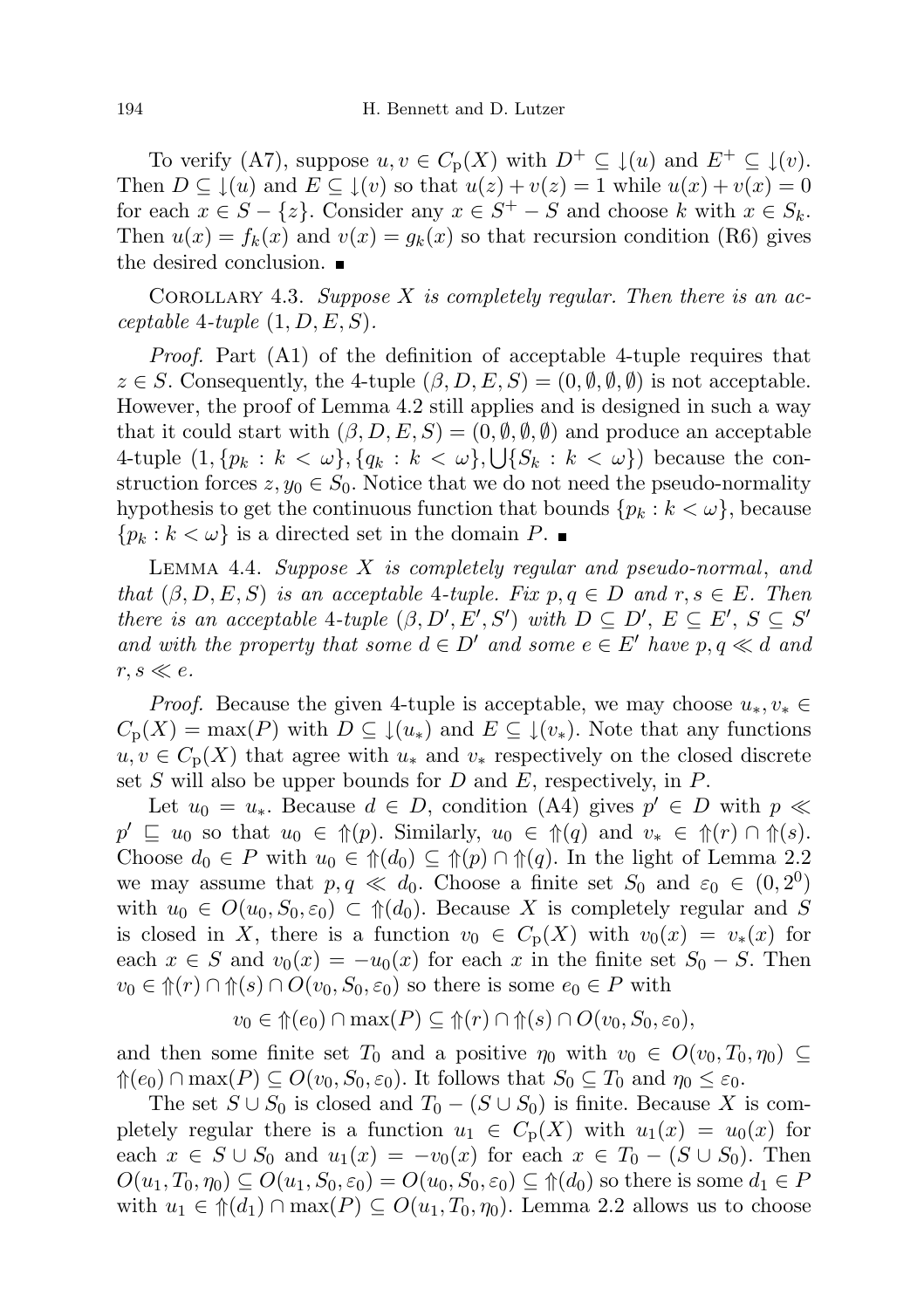To verify (A7), suppose  $u, v \in C_p(X)$  with  $D^+ \subseteq \mathcal{L}(u)$  and  $E^+ \subseteq \mathcal{L}(v)$ . Then  $D \subseteq \mathcal{L}(u)$  and  $E \subseteq \mathcal{L}(v)$  so that  $u(z) + v(z) = 1$  while  $u(x) + v(x) = 0$ for each  $x \in S - \{z\}$ . Consider any  $x \in S^+ - S$  and choose k with  $x \in S_k$ . Then  $u(x) = f_k(x)$  and  $v(x) = g_k(x)$  so that recursion condition (R6) gives the desired conclusion.

COROLLARY 4.3. Suppose  $X$  is completely regular. Then there is an acceptable 4-tuple  $(1, D, E, S)$ .

Proof. Part (A1) of the definition of acceptable 4-tuple requires that  $z \in S$ . Consequently, the 4-tuple  $(\beta, D, E, S) = (0, \emptyset, \emptyset, \emptyset)$  is not acceptable. However, the proof of Lemma 4.2 still applies and is designed in such a way that it could start with  $(\beta, D, E, S) = (0, \emptyset, \emptyset, \emptyset)$  and produce an acceptable 4-tuple  $(1, \{p_k : k < \omega\}, \{q_k : k < \omega\}, \bigcup \{S_k : k < \omega\})$  because the construction forces  $z, y_0 \in S_0$ . Notice that we do not need the pseudo-normality hypothesis to get the continuous function that bounds  $\{p_k : k < \omega\}$ , because  $\{p_k : k < \omega\}$  is a directed set in the domain P.

Lemma 4.4. Suppose X is completely regular and pseudo-normal, and that  $(\beta, D, E, S)$  is an acceptable 4-tuple. Fix  $p, q \in D$  and  $r, s \in E$ . Then there is an acceptable 4-tuple  $(\beta, D', E', S')$  with  $D \subseteq D', E \subseteq E', S \subseteq S'$ and with the property that some  $d \in D'$  and some  $e \in E'$  have  $p, q \ll d$  and  $r, s \ll e$ .

*Proof.* Because the given 4-tuple is acceptable, we may choose  $u_*, v_* \in$  $C_p(X) = \max(P)$  with  $D \subseteq \downarrow(u_*)$  and  $E \subseteq \downarrow(v_*)$ . Note that any functions  $u, v \in C_{\mathbf{p}}(X)$  that agree with  $u_*$  and  $v_*$  respectively on the closed discrete set S will also be upper bounds for D and E, respectively, in  $P$ .

Let  $u_0 = u_*$ . Because  $d \in D$ , condition (A4) gives  $p' \in D$  with  $p \ll$  $p' \subseteq u_0$  so that  $u_0 \in \mathcal{D}(p)$ . Similarly,  $u_0 \in \mathcal{D}(q)$  and  $v_* \in \mathcal{D}(r) \cap \mathcal{D}(s)$ . Choose  $d_0 \in P$  with  $u_0 \in \mathcal{M}(d_0) \subseteq \mathcal{M}(p) \cap \mathcal{M}(q)$ . In the light of Lemma 2.2 we may assume that  $p, q \ll d_0$ . Choose a finite set  $S_0$  and  $\varepsilon_0 \in (0, 2^0)$ with  $u_0 \in O(u_0, S_0, \varepsilon_0) \subset \mathcal{H}(d_0)$ . Because X is completely regular and S is closed in X, there is a function  $v_0 \in C_p(X)$  with  $v_0(x) = v_*(x)$  for each  $x \in S$  and  $v_0(x) = -u_0(x)$  for each x in the finite set  $S_0 - S$ . Then  $v_0 \in \hat{\mathcal{T}}(r) \cap \hat{\mathcal{T}}(s) \cap O(v_0, S_0, \varepsilon_0)$  so there is some  $e_0 \in P$  with

$$
v_0 \in \Uparrow(e_0) \cap \max(P) \subseteq \Uparrow(r) \cap \Uparrow(s) \cap O(v_0, S_0, \varepsilon_0),
$$

and then some finite set  $T_0$  and a positive  $\eta_0$  with  $v_0 \in O(v_0, T_0, \eta_0) \subseteq$  $\mathcal{L}(e_0) \cap \max(P) \subseteq O(v_0, S_0, \varepsilon_0)$ . It follows that  $S_0 \subseteq T_0$  and  $\eta_0 \leq \varepsilon_0$ .

The set  $S \cup S_0$  is closed and  $T_0 - (S \cup S_0)$  is finite. Because X is completely regular there is a function  $u_1 \in C_p(X)$  with  $u_1(x) = u_0(x)$  for each  $x \in S \cup S_0$  and  $u_1(x) = -v_0(x)$  for each  $x \in T_0 - (S \cup S_0)$ . Then  $O(u_1, T_0, \eta_0) \subseteq O(u_1, S_0, \varepsilon_0) = O(u_0, S_0, \varepsilon_0) \subseteq \mathcal{H}(d_0)$  so there is some  $d_1 \in P$ with  $u_1 \in \mathcal{m}(d_1) \cap \max(P) \subseteq O(u_1, T_0, \eta_0)$ . Lemma 2.2 allows us to choose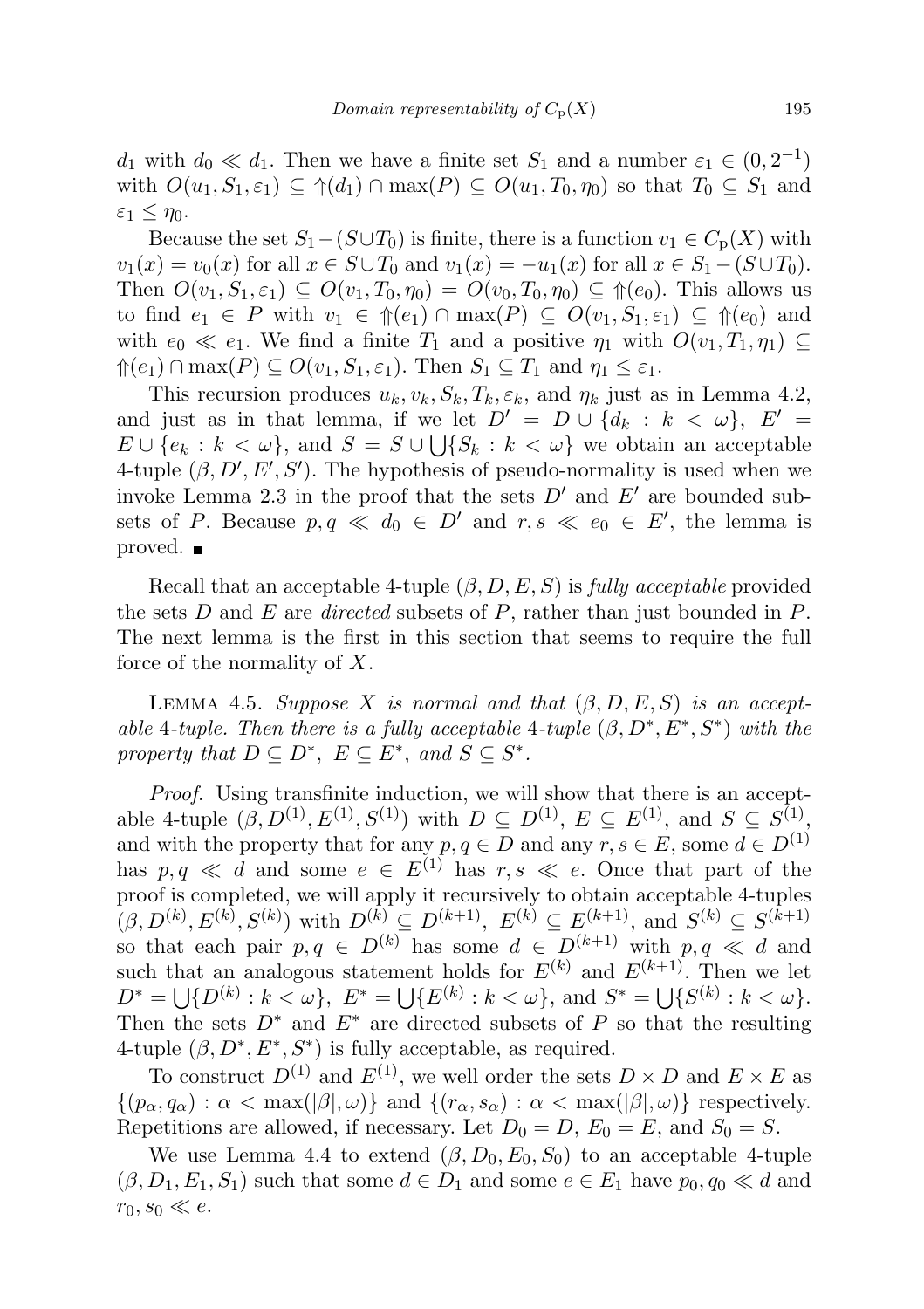$d_1$  with  $d_0 \ll d_1$ . Then we have a finite set  $S_1$  and a number  $\varepsilon_1 \in (0, 2^{-1})$ with  $O(u_1, S_1, \varepsilon_1) \subseteq \mathcal{F}(d_1) \cap \max(P) \subseteq O(u_1, T_0, \eta_0)$  so that  $T_0 \subseteq S_1$  and  $\varepsilon_1 \leq \eta_0$ .

Because the set  $S_1-(S\cup T_0)$  is finite, there is a function  $v_1 \in C_p(X)$  with  $v_1(x) = v_0(x)$  for all  $x \in S \cup T_0$  and  $v_1(x) = -u_1(x)$  for all  $x \in S_1 - (S \cup T_0)$ . Then  $O(v_1, S_1, \varepsilon_1) \subseteq O(v_1, T_0, \eta_0) = O(v_0, T_0, \eta_0) \subseteq \mathcal{D}(\varepsilon_0)$ . This allows us to find  $e_1 \in P$  with  $v_1 \in \Uparrow(e_1) \cap \max(P) \subseteq O(v_1, S_1, \varepsilon_1) \subseteq \Uparrow(e_0)$  and with  $e_0 \ll e_1$ . We find a finite  $T_1$  and a positive  $\eta_1$  with  $O(v_1, T_1, \eta_1) \subseteq$  $\mathcal{P}(e_1) \cap \max(P) \subseteq O(v_1, S_1, \varepsilon_1)$ . Then  $S_1 \subseteq T_1$  and  $\eta_1 \leq \varepsilon_1$ .

This recursion produces  $u_k, v_k, S_k, T_k, \varepsilon_k$ , and  $\eta_k$  just as in Lemma 4.2, and just as in that lemma, if we let  $D' = D \cup \{d_k : k < \omega\}$ ,  $E' =$  $E \cup \{e_k : k < \omega\}$ , and  $S = S \cup \bigcup \{S_k : k < \omega\}$  we obtain an acceptable 4-tuple  $(\beta, D', E', S')$ . The hypothesis of pseudo-normality is used when we invoke Lemma 2.3 in the proof that the sets  $D'$  and  $E'$  are bounded subsets of P. Because  $p, q \ll d_0 \in D'$  and  $r, s \ll e_0 \in E'$ , the lemma is proved. ■

Recall that an acceptable 4-tuple  $(\beta, D, E, S)$  is fully acceptable provided the sets D and E are *directed* subsets of P, rather than just bounded in P. The next lemma is the first in this section that seems to require the full force of the normality of X.

LEMMA 4.5. Suppose X is normal and that  $(\beta, D, E, S)$  is an acceptable 4-tuple. Then there is a fully acceptable 4-tuple  $(\beta, D^*, E^*, S^*)$  with the property that  $D \subseteq D^*$ ,  $E \subseteq E^*$ , and  $S \subseteq S^*$ .

Proof. Using transfinite induction, we will show that there is an acceptable 4-tuple  $(\beta, D^{(1)}, E^{(1)}, S^{(1)})$  with  $D \subseteq D^{(1)}, E \subseteq E^{(1)},$  and  $S \subseteq S^{(1)},$ and with the property that for any  $p, q \in D$  and any  $r, s \in E$ , some  $d \in D^{(1)}$ has  $p, q \ll d$  and some  $e \in E^{(1)}$  has  $r, s \ll e$ . Once that part of the proof is completed, we will apply it recursively to obtain acceptable 4-tuples  $(\beta, D^{(k)}, E^{(k)}, S^{(k)})$  with  $D^{(k)} \subseteq D^{(k+1)}$ ,  $E^{(k)} \subseteq E^{(k+1)}$ , and  $S^{(k)} \subseteq S^{(k+1)}$ so that each pair  $p, q \in D^{(k)}$  has some  $d \in D^{(k+1)}$  with  $p, q \ll d$  and such that an analogous statement holds for  $E^{(k)}$  and  $E^{(k+1)}$ . Then we let  $D^* = \bigcup \{ D^{(k)} : k < \omega \}, E^* = \bigcup \{ E^{(k)} : k < \omega \}, \text{ and } S^* = \bigcup \{ S^{(k)} : k < \omega \}.$ Then the sets  $D^*$  and  $E^*$  are directed subsets of P so that the resulting 4-tuple  $(\beta, D^*, E^*, S^*)$  is fully acceptable, as required.

To construct  $D^{(1)}$  and  $E^{(1)}$ , we well order the sets  $D \times D$  and  $E \times E$  as  $\{(p_{\alpha}, q_{\alpha}) : \alpha < \max(|\beta|, \omega)\}\$ and  $\{(r_{\alpha}, s_{\alpha}) : \alpha < \max(|\beta|, \omega)\}\$ respectively. Repetitions are allowed, if necessary. Let  $D_0 = D$ ,  $E_0 = E$ , and  $S_0 = S$ .

We use Lemma 4.4 to extend  $(\beta, D_0, E_0, S_0)$  to an acceptable 4-tuple  $(\beta, D_1, E_1, S_1)$  such that some  $d \in D_1$  and some  $e \in E_1$  have  $p_0, q_0 \ll d$  and  $r_0, s_0 \ll e.$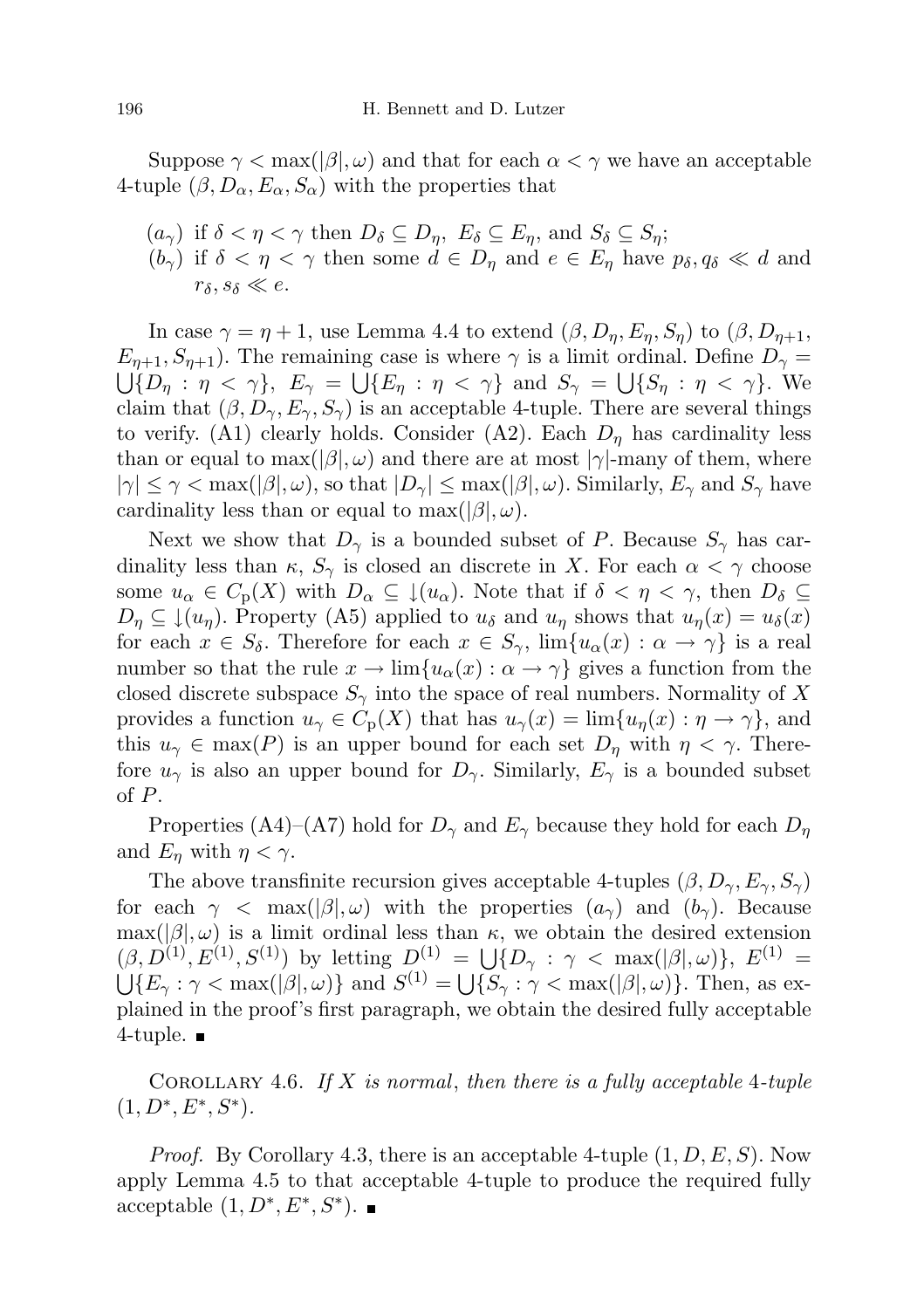Suppose  $\gamma < \max(|\beta|, \omega)$  and that for each  $\alpha < \gamma$  we have an acceptable 4-tuple  $(\beta, D_{\alpha}, E_{\alpha}, S_{\alpha})$  with the properties that

 $(a_{\gamma})$  if  $\delta < \eta < \gamma$  then  $D_{\delta} \subseteq D_{\eta}$ ,  $E_{\delta} \subseteq E_{\eta}$ , and  $S_{\delta} \subseteq S_{\eta}$ ;  $(b_{\gamma})$  if  $\delta < \eta < \gamma$  then some  $d \in D_{\eta}$  and  $e \in E_{\eta}$  have  $p_{\delta}, q_{\delta} \ll d$  and  $r_{\delta}, s_{\delta} \ll e$ .

In case  $\gamma = \eta + 1$ , use Lemma 4.4 to extend  $(\beta, D_{\eta}, E_{\eta}, S_{\eta})$  to  $(\beta, D_{\eta+1}, S_{\eta})$  $E_{n+1}, S_{n+1}$ ). The remaining case is where  $\gamma$  is a limit ordinal. Define  $D_{\gamma} =$  $\bigcup \{D_\eta : \eta < \gamma\},\ E_\gamma = \bigcup \{E_\eta : \eta < \gamma\}\$ and  $S_\gamma = \bigcup \{S_\eta : \eta < \gamma\}.$  We claim that  $(\beta, D_{\gamma}, E_{\gamma}, S_{\gamma})$  is an acceptable 4-tuple. There are several things to verify. (A1) clearly holds. Consider (A2). Each  $D<sub>\eta</sub>$  has cardinality less than or equal to  $\max(|\beta|, \omega)$  and there are at most  $|\gamma|$ -many of them, where  $|\gamma| \leq \gamma < \max(|\beta|, \omega)$ , so that  $|D_{\gamma}| \leq \max(|\beta|, \omega)$ . Similarly,  $E_{\gamma}$  and  $S_{\gamma}$  have cardinality less than or equal to max $(|\beta|, \omega)$ .

Next we show that  $D_{\gamma}$  is a bounded subset of P. Because  $S_{\gamma}$  has cardinality less than  $\kappa$ ,  $S_{\gamma}$  is closed an discrete in X. For each  $\alpha < \gamma$  choose some  $u_{\alpha} \in C_{\mathbf{p}}(X)$  with  $D_{\alpha} \subseteq \mathcal{L}(u_{\alpha})$ . Note that if  $\delta < \eta < \gamma$ , then  $D_{\delta} \subseteq$  $D_{\eta} \subseteq \mathcal{L}(u_{\eta})$ . Property (A5) applied to  $u_{\delta}$  and  $u_{\eta}$  shows that  $u_{\eta}(x) = u_{\delta}(x)$ for each  $x \in S_\delta$ . Therefore for each  $x \in S_\gamma$ ,  $\lim\{u_\alpha(x) : \alpha \to \gamma\}$  is a real number so that the rule  $x \to \lim\{u_\alpha(x) : \alpha \to \gamma\}$  gives a function from the closed discrete subspace  $S_{\gamma}$  into the space of real numbers. Normality of X provides a function  $u_{\gamma} \in C_{p}(X)$  that has  $u_{\gamma}(x) = \lim\{u_{\eta}(x) : \eta \to \gamma\}$ , and this  $u_{\gamma} \in \max(P)$  is an upper bound for each set  $D_{\eta}$  with  $\eta < \gamma$ . Therefore  $u_{\gamma}$  is also an upper bound for  $D_{\gamma}$ . Similarly,  $E_{\gamma}$  is a bounded subset of P.

Properties (A4)–(A7) hold for  $D_{\gamma}$  and  $E_{\gamma}$  because they hold for each  $D_{\eta}$ and  $E_{\eta}$  with  $\eta < \gamma$ .

The above transfinite recursion gives acceptable 4-tuples  $(\beta, D_{\gamma}, E_{\gamma}, S_{\gamma})$ for each  $\gamma$  < max( $|\beta|, \omega$ ) with the properties  $(a_{\gamma})$  and  $(b_{\gamma})$ . Because  $\max(|\beta|, \omega)$  is a limit ordinal less than  $\kappa$ , we obtain the desired extension  $(\beta, D^{(1)}, E^{(1)}, S^{(1)})$  by letting  $D^{(1)} = \bigcup \{D_{\gamma} : \gamma < \max(|\beta|, \omega)\}, E^{(1)} =$  $\bigcup \{E_\gamma : \gamma < \max(|\beta|, \omega)\}\$ and  $S^{(1)} = \bigcup \{S_\gamma : \gamma < \max(|\beta|, \omega)\}\.$  Then, as explained in the proof's first paragraph, we obtain the desired fully acceptable 4-tuple.  $\blacksquare$ 

COROLLARY 4.6. If X is normal, then there is a fully acceptable 4-tuple  $(1, D^*, E^*, S^*)$ .

*Proof.* By Corollary 4.3, there is an acceptable 4-tuple  $(1, D, E, S)$ . Now apply Lemma 4.5 to that acceptable 4-tuple to produce the required fully acceptable  $(1, D^*, E^*, S^*)$ .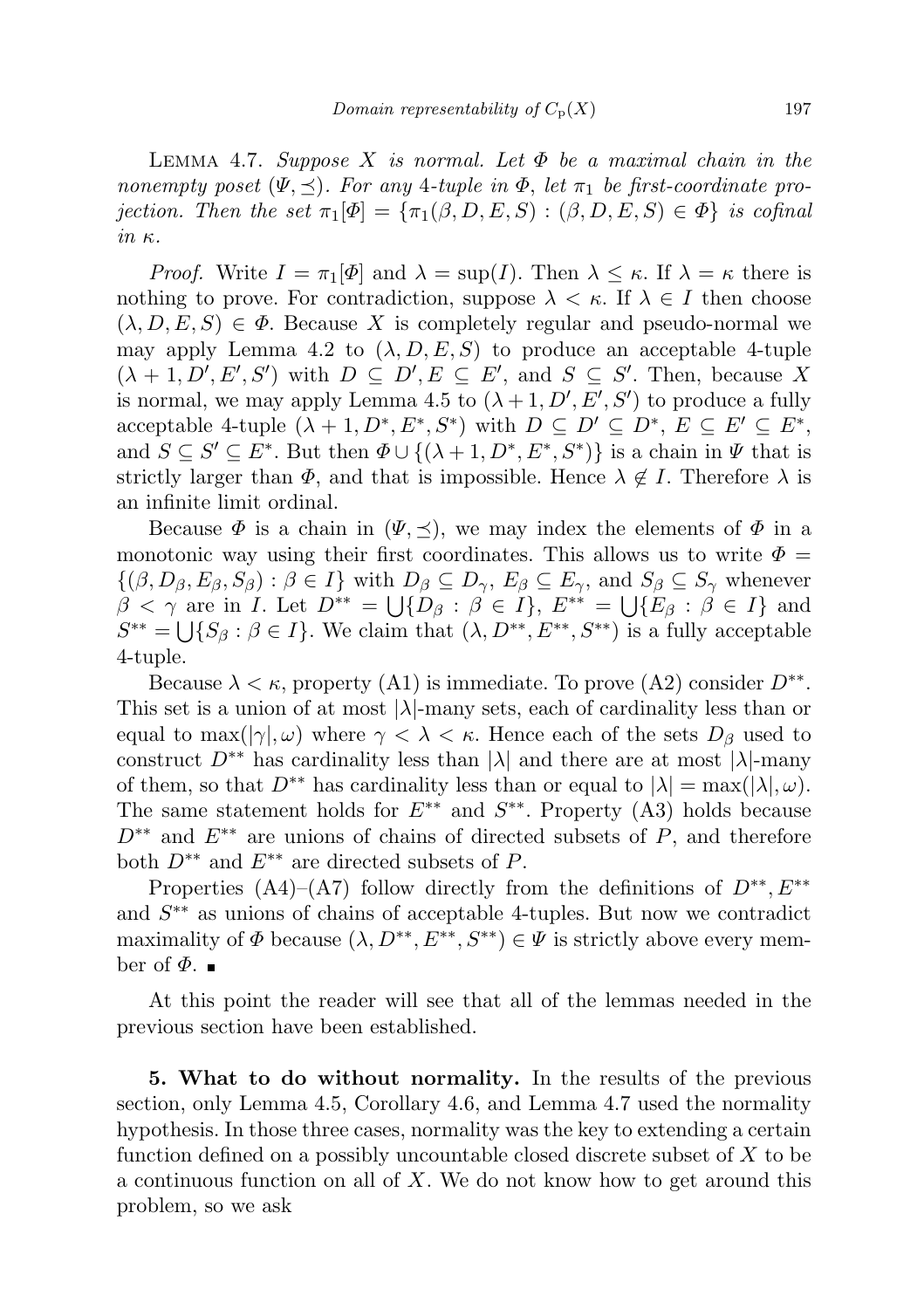LEMMA 4.7. Suppose X is normal. Let  $\Phi$  be a maximal chain in the nonempty poset  $(\Psi, \preceq)$ . For any 4-tuple in  $\Phi$ , let  $\pi_1$  be first-coordinate projection. Then the set  $\pi_1[\Phi] = {\pi_1(\beta, D, E, S) : (\beta, D, E, S) \in \Phi}$  is cofinal in κ.

*Proof.* Write  $I = \pi_1[\Phi]$  and  $\lambda = \sup(I)$ . Then  $\lambda \leq \kappa$ . If  $\lambda = \kappa$  there is nothing to prove. For contradiction, suppose  $\lambda < \kappa$ . If  $\lambda \in I$  then choose  $(\lambda, D, E, S) \in \Phi$ . Because X is completely regular and pseudo-normal we may apply Lemma 4.2 to  $(\lambda, D, E, S)$  to produce an acceptable 4-tuple  $(\lambda + 1, D', E', S')$  with  $D \subseteq D', E \subseteq E'$ , and  $S \subseteq S'$ . Then, because X is normal, we may apply Lemma 4.5 to  $(\lambda + 1, D', E', S')$  to produce a fully acceptable 4-tuple  $(\lambda + 1, D^*, E^*, S^*)$  with  $D \subseteq D' \subseteq D^*, E \subseteq E' \subseteq E^*$ , and  $S \subseteq S' \subseteq E^*$ . But then  $\Phi \cup \{(\lambda+1, D^*, E^*, S^*)\}$  is a chain in  $\Psi$  that is strictly larger than  $\Phi$ , and that is impossible. Hence  $\lambda \notin I$ . Therefore  $\lambda$  is an infinite limit ordinal.

Because  $\Phi$  is a chain in  $(\Psi, \preceq)$ , we may index the elements of  $\Phi$  in a monotonic way using their first coordinates. This allows us to write  $\Phi =$  $\{(\beta, D_{\beta}, E_{\beta}, S_{\beta}) : \beta \in I\}$  with  $D_{\beta} \subseteq D_{\gamma}$ ,  $E_{\beta} \subseteq E_{\gamma}$ , and  $S_{\beta} \subseteq S_{\gamma}$  whenever  $\beta < \gamma$  are in *I*. Let  $D^{**} = \bigcup \{D_{\beta} : \beta \in I\}$ ,  $E^{**} = \bigcup \{E_{\beta} : \beta \in I\}$  and  $S^{**} = \bigcup \{ S_\beta : \beta \in I \}.$  We claim that  $(\lambda, D^{**}, E^{**}, S^{**})$  is a fully acceptable 4-tuple.

Because  $\lambda < \kappa$ , property (A1) is immediate. To prove (A2) consider  $D^{**}$ . This set is a union of at most  $|\lambda|$ -many sets, each of cardinality less than or equal to  $\max(|\gamma|, \omega)$  where  $\gamma < \lambda < \kappa$ . Hence each of the sets  $D_{\beta}$  used to construct  $D^{**}$  has cardinality less than  $|\lambda|$  and there are at most  $|\lambda|$ -many of them, so that  $D^{**}$  has cardinality less than or equal to  $|\lambda| = \max(|\lambda|, \omega)$ . The same statement holds for  $E^{**}$  and  $S^{**}$ . Property (A3) holds because  $D^{**}$  and  $E^{**}$  are unions of chains of directed subsets of P, and therefore both  $D^{**}$  and  $E^{**}$  are directed subsets of P.

Properties (A4)–(A7) follow directly from the definitions of  $D^{**}, E^{**}$ and  $S^{**}$  as unions of chains of acceptable 4-tuples. But now we contradict maximality of  $\Phi$  because  $(\lambda, D^{**}, E^{**}, S^{**}) \in \Psi$  is strictly above every member of  $\Phi$ .

At this point the reader will see that all of the lemmas needed in the previous section have been established.

5. What to do without normality. In the results of the previous section, only Lemma 4.5, Corollary 4.6, and Lemma 4.7 used the normality hypothesis. In those three cases, normality was the key to extending a certain function defined on a possibly uncountable closed discrete subset of X to be a continuous function on all of  $X$ . We do not know how to get around this problem, so we ask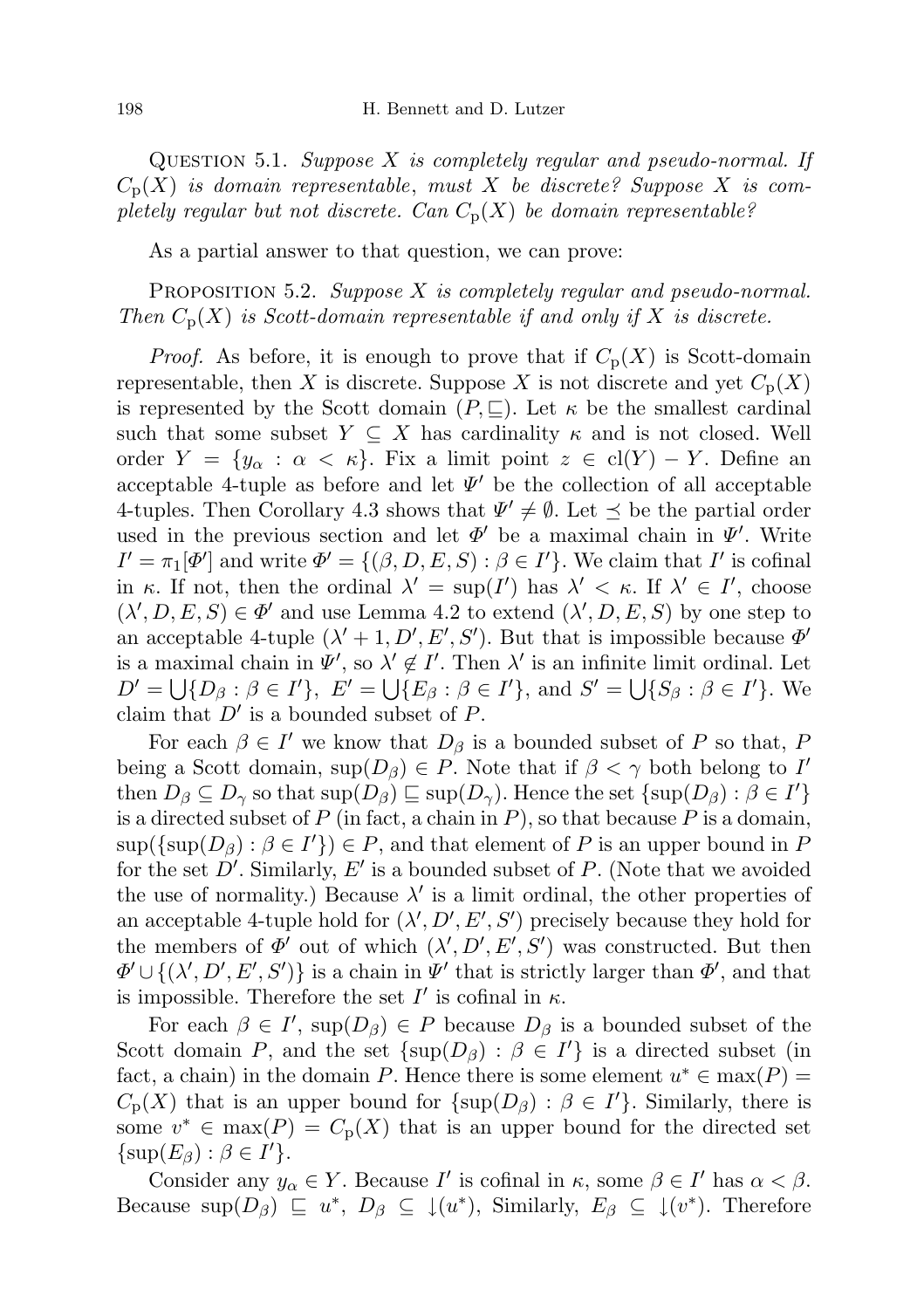QUESTION 5.1. Suppose  $X$  is completely regular and pseudo-normal. If  $C_p(X)$  is domain representable, must X be discrete? Suppose X is completely regular but not discrete. Can  $C_p(X)$  be domain representable?

As a partial answer to that question, we can prove:

PROPOSITION 5.2. Suppose  $X$  is completely regular and pseudo-normal. Then  $C_p(X)$  is Scott-domain representable if and only if X is discrete.

*Proof.* As before, it is enough to prove that if  $C_p(X)$  is Scott-domain representable, then X is discrete. Suppose X is not discrete and yet  $C_p(X)$ is represented by the Scott domain  $(P, \subseteq)$ . Let  $\kappa$  be the smallest cardinal such that some subset  $Y \subseteq X$  has cardinality  $\kappa$  and is not closed. Well order  $Y = \{y_\alpha : \alpha < \kappa\}$ . Fix a limit point  $z \in \text{cl}(Y) - Y$ . Define an acceptable 4-tuple as before and let  $\Psi'$  be the collection of all acceptable 4-tuples. Then Corollary 4.3 shows that  $\Psi' \neq \emptyset$ . Let  $\preceq$  be the partial order used in the previous section and let  $\Phi'$  be a maximal chain in  $\Psi'$ . Write  $I' = \pi_1[\Phi']$  and write  $\Phi' = \{(\beta, D, E, S) : \beta \in I'\}$ . We claim that I' is cofinal in  $\kappa$ . If not, then the ordinal  $\lambda' = \sup(I')$  has  $\lambda' < \kappa$ . If  $\lambda' \in I'$ , choose  $(\lambda', D, E, S) \in \Phi'$  and use Lemma 4.2 to extend  $(\lambda', D, E, S)$  by one step to an acceptable 4-tuple  $(\lambda' + 1, D', E', S')$ . But that is impossible because  $\Phi'$ is a maximal chain in  $\Psi'$ , so  $\lambda' \notin I'$ . Then  $\lambda'$  is an infinite limit ordinal. Let  $D' = \bigcup \{D_{\beta} : \beta \in I'\}, E' = \bigcup \{E_{\beta} : \beta \in I'\}, \text{ and } S' = \bigcup \{S_{\beta} : \beta \in I'\}.$  We claim that  $D'$  is a bounded subset of  $P$ .

For each  $\beta \in I'$  we know that  $D_{\beta}$  is a bounded subset of P so that, F being a Scott domain,  $\sup(D_\beta) \in P$ . Note that if  $\beta < \gamma$  both belong to I' then  $D_{\beta} \subseteq D_{\gamma}$  so that  $\sup(D_{\beta}) \sqsubseteq \sup(D_{\gamma})$ . Hence the set  $\{\sup(D_{\beta}) : \beta \in I'\}$ is a directed subset of  $P$  (in fact, a chain in  $P$ ), so that because  $P$  is a domain,  $\sup(\{\sup(D_\beta): \beta \in I'\}) \in P$ , and that element of P is an upper bound in F for the set  $D'$ . Similarly,  $E'$  is a bounded subset of P. (Note that we avoided the use of normality.) Because  $\lambda'$  is a limit ordinal, the other properties of an acceptable 4-tuple hold for  $(\lambda', D', E', S')$  precisely because they hold for the members of  $\Phi'$  out of which  $(\lambda', D', E', S')$  was constructed. But then  $\Phi' \cup \{(\lambda', D', E', S')\}$  is a chain in  $\Psi'$  that is strictly larger than  $\Phi'$ , and that is impossible. Therefore the set  $I'$  is cofinal in  $\kappa$ .

For each  $\beta \in I'$ , sup $(D_{\beta}) \in P$  because  $D_{\beta}$  is a bounded subset of the Scott domain P, and the set  $\{\sup(D_\beta) : \beta \in I'\}$  is a directed subset (in fact, a chain) in the domain P. Hence there is some element  $u^* \in \max(P)$  $C_{\rm p}(X)$  that is an upper bound for  $\{\sup(D_\beta): \beta \in I'\}$ . Similarly, there is some  $v^* \in \max(P) = C_p(X)$  that is an upper bound for the directed set  $\{\sup(E_{\beta}) : \beta \in I'\}.$ 

Consider any  $y_{\alpha} \in Y$ . Because I' is cofinal in  $\kappa$ , some  $\beta \in I'$  has  $\alpha < \beta$ . Because  $\sup(D_\beta) \subseteq u^*, D_\beta \subseteq \downarrow(u^*),$  Similarly,  $E_\beta \subseteq \downarrow(v^*).$  Therefore